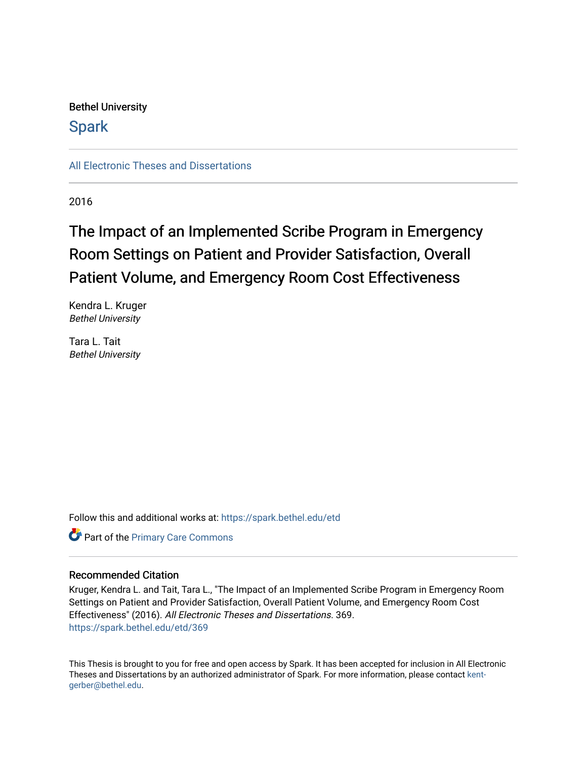# Bethel University

# **Spark**

[All Electronic Theses and Dissertations](https://spark.bethel.edu/etd) 

2016

# The Impact of an Implemented Scribe Program in Emergency Room Settings on Patient and Provider Satisfaction, Overall Patient Volume, and Emergency Room Cost Effectiveness

Kendra L. Kruger Bethel University

Tara L. Tait Bethel University

Follow this and additional works at: [https://spark.bethel.edu/etd](https://spark.bethel.edu/etd?utm_source=spark.bethel.edu%2Fetd%2F369&utm_medium=PDF&utm_campaign=PDFCoverPages)

Part of the [Primary Care Commons](http://network.bepress.com/hgg/discipline/1092?utm_source=spark.bethel.edu%2Fetd%2F369&utm_medium=PDF&utm_campaign=PDFCoverPages)

## Recommended Citation

Kruger, Kendra L. and Tait, Tara L., "The Impact of an Implemented Scribe Program in Emergency Room Settings on Patient and Provider Satisfaction, Overall Patient Volume, and Emergency Room Cost Effectiveness" (2016). All Electronic Theses and Dissertations. 369. [https://spark.bethel.edu/etd/369](https://spark.bethel.edu/etd/369?utm_source=spark.bethel.edu%2Fetd%2F369&utm_medium=PDF&utm_campaign=PDFCoverPages)

This Thesis is brought to you for free and open access by Spark. It has been accepted for inclusion in All Electronic Theses and Dissertations by an authorized administrator of Spark. For more information, please contact [kent](mailto:kent-gerber@bethel.edu)[gerber@bethel.edu.](mailto:kent-gerber@bethel.edu)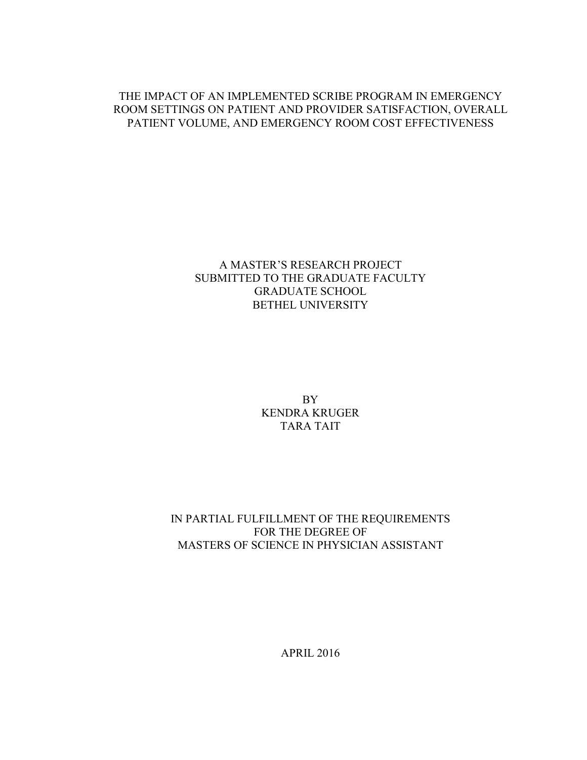## THE IMPACT OF AN IMPLEMENTED SCRIBE PROGRAM IN EMERGENCY ROOM SETTINGS ON PATIENT AND PROVIDER SATISFACTION, OVERALL PATIENT VOLUME, AND EMERGENCY ROOM COST EFFECTIVENESS

## A MASTER'S RESEARCH PROJECT SUBMITTED TO THE GRADUATE FACULTY GRADUATE SCHOOL BETHEL UNIVERSITY

BY KENDRA KRUGER TARA TAIT

## IN PARTIAL FULFILLMENT OF THE REQUIREMENTS FOR THE DEGREE OF MASTERS OF SCIENCE IN PHYSICIAN ASSISTANT

APRIL 2016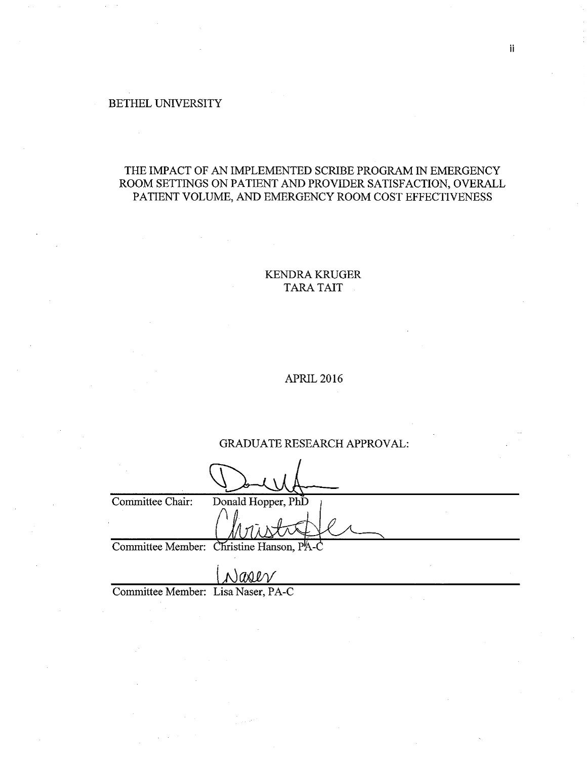#### BETHEL UNIVERSITY

## THE IMPACT OF AN IMPLEMENTED SCRIBE PROGRAM IN EMERGENCY ROOM SETTINGS ON PATIENT AND PROVIDER SATISFACTION, OVERALL PATIENT VOLUME, AND EMERGENCY ROOM COST EFFECTIVENESS

### KENDRA KRUGER TARA TAIT

#### APRIL 2016

### GRADUATE RESEARCH APPROVAL:

| Committee Chair: | Donald Hopper, PhD                       |
|------------------|------------------------------------------|
|                  |                                          |
|                  | Committee Member: Christine Hanson, PA-C |
|                  |                                          |

asev

Committee Member: Lisa Naser, PA-C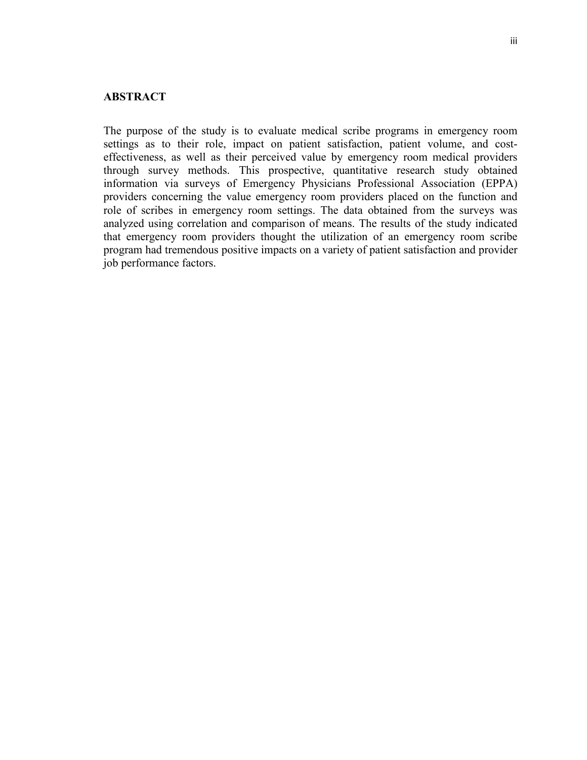#### **ABSTRACT**

The purpose of the study is to evaluate medical scribe programs in emergency room settings as to their role, impact on patient satisfaction, patient volume, and costeffectiveness, as well as their perceived value by emergency room medical providers through survey methods. This prospective, quantitative research study obtained information via surveys of Emergency Physicians Professional Association (EPPA) providers concerning the value emergency room providers placed on the function and role of scribes in emergency room settings. The data obtained from the surveys was analyzed using correlation and comparison of means. The results of the study indicated that emergency room providers thought the utilization of an emergency room scribe program had tremendous positive impacts on a variety of patient satisfaction and provider job performance factors.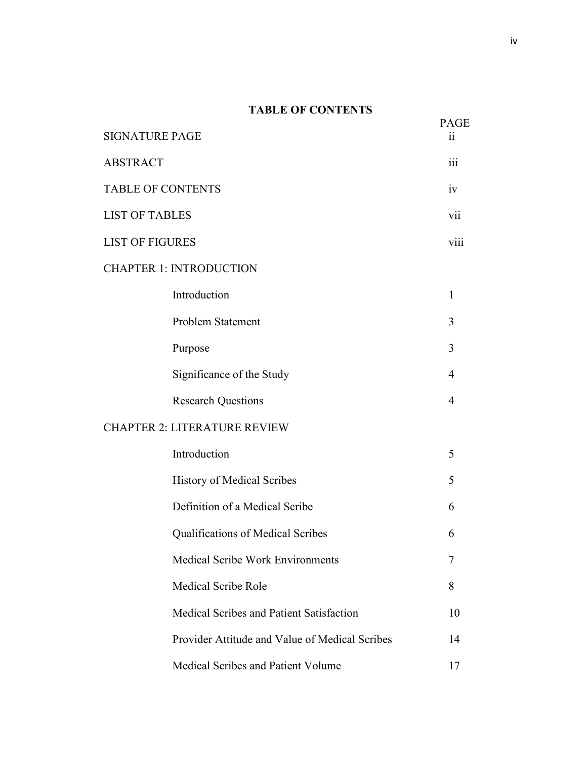## **TABLE OF CONTENTS**

| <b>SIGNATURE PAGE</b>    |                                                | <b>PAGE</b><br>11 |  |  |
|--------------------------|------------------------------------------------|-------------------|--|--|
| <b>ABSTRACT</b>          |                                                | 111               |  |  |
| <b>TABLE OF CONTENTS</b> |                                                | iv                |  |  |
| <b>LIST OF TABLES</b>    |                                                | vii               |  |  |
| <b>LIST OF FIGURES</b>   |                                                |                   |  |  |
|                          | <b>CHAPTER 1: INTRODUCTION</b>                 |                   |  |  |
|                          | Introduction                                   | 1                 |  |  |
|                          | Problem Statement                              | 3                 |  |  |
|                          | Purpose                                        | 3                 |  |  |
|                          | Significance of the Study                      | 4                 |  |  |
|                          | <b>Research Questions</b>                      | 4                 |  |  |
|                          | <b>CHAPTER 2: LITERATURE REVIEW</b>            |                   |  |  |
|                          | Introduction                                   | 5                 |  |  |
|                          | History of Medical Scribes                     | 5                 |  |  |
|                          | Definition of a Medical Scribe                 | 6                 |  |  |
|                          | Qualifications of Medical Scribes              | 6                 |  |  |
|                          | <b>Medical Scribe Work Environments</b>        | $\overline{7}$    |  |  |
|                          | <b>Medical Scribe Role</b>                     | 8                 |  |  |
|                          | Medical Scribes and Patient Satisfaction       | 10                |  |  |
|                          | Provider Attitude and Value of Medical Scribes | 14                |  |  |
|                          | Medical Scribes and Patient Volume             | 17                |  |  |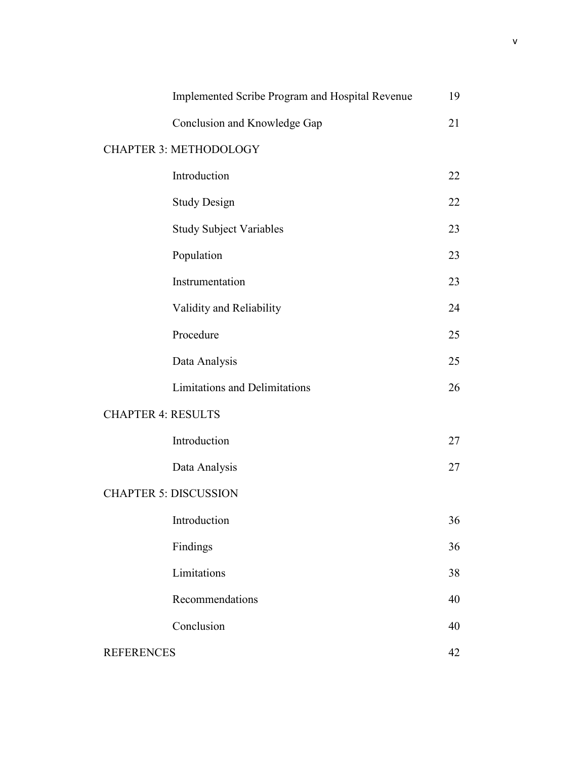| Implemented Scribe Program and Hospital Revenue |    |  |  |  |  |
|-------------------------------------------------|----|--|--|--|--|
| Conclusion and Knowledge Gap                    | 21 |  |  |  |  |
| <b>CHAPTER 3: METHODOLOGY</b>                   |    |  |  |  |  |
| Introduction                                    | 22 |  |  |  |  |
| <b>Study Design</b>                             | 22 |  |  |  |  |
| <b>Study Subject Variables</b>                  | 23 |  |  |  |  |
| Population                                      | 23 |  |  |  |  |
| Instrumentation                                 | 23 |  |  |  |  |
| Validity and Reliability                        | 24 |  |  |  |  |
| Procedure                                       | 25 |  |  |  |  |
| Data Analysis                                   | 25 |  |  |  |  |
| <b>Limitations and Delimitations</b>            | 26 |  |  |  |  |
| <b>CHAPTER 4: RESULTS</b>                       |    |  |  |  |  |
| Introduction                                    | 27 |  |  |  |  |
| Data Analysis                                   | 27 |  |  |  |  |
| <b>CHAPTER 5: DISCUSSION</b>                    |    |  |  |  |  |
| Introduction                                    | 36 |  |  |  |  |
| Findings                                        | 36 |  |  |  |  |
| Limitations                                     | 38 |  |  |  |  |
| Recommendations                                 | 40 |  |  |  |  |
| Conclusion                                      | 40 |  |  |  |  |
| <b>REFERENCES</b>                               |    |  |  |  |  |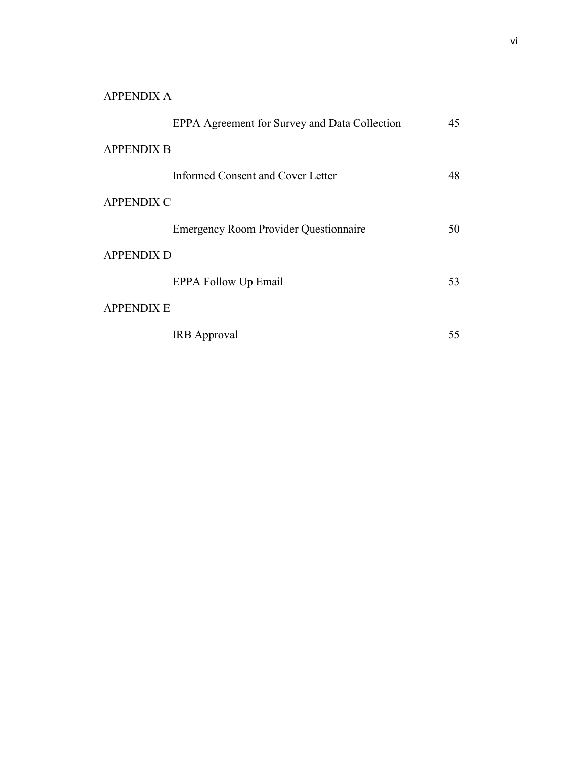# APPENDIX A

|                   | EPPA Agreement for Survey and Data Collection | 45 |
|-------------------|-----------------------------------------------|----|
| <b>APPENDIX B</b> |                                               |    |
|                   | Informed Consent and Cover Letter             | 48 |
| <b>APPENDIX C</b> |                                               |    |
|                   | <b>Emergency Room Provider Questionnaire</b>  | 50 |
| <b>APPENDIX D</b> |                                               |    |
|                   | EPPA Follow Up Email                          | 53 |
| <b>APPENDIX E</b> |                                               |    |
|                   | <b>IRB</b> Approval                           | 55 |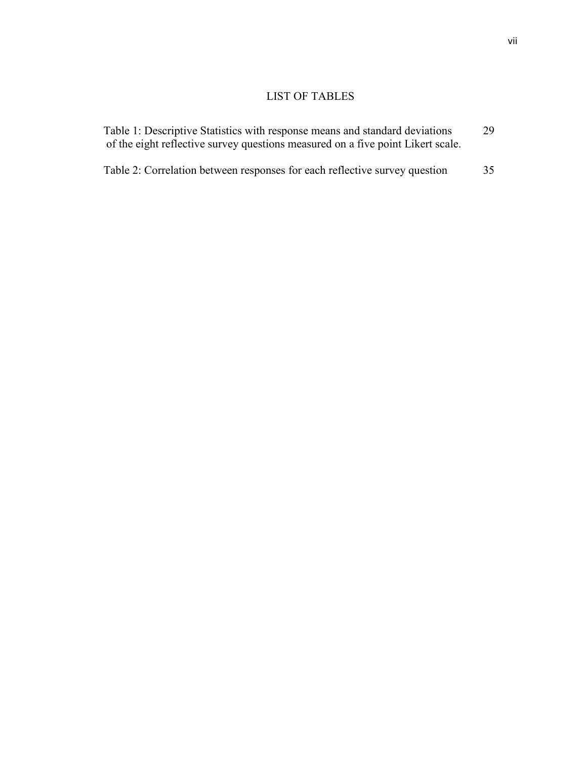# LIST OF TABLES

| Table 1: Descriptive Statistics with response means and standard deviations     | 29 |
|---------------------------------------------------------------------------------|----|
| of the eight reflective survey questions measured on a five point Likert scale. |    |

Table 2: Correlation between responses for each reflective survey question 35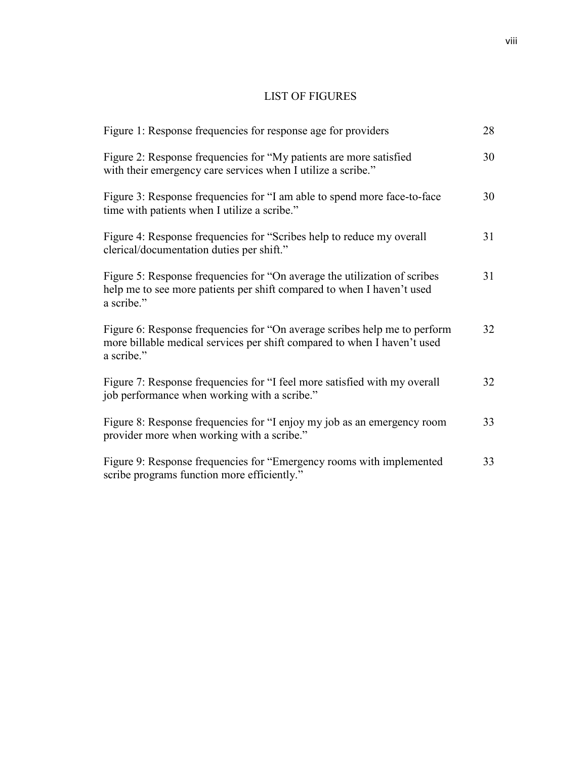# LIST OF FIGURES

| Figure 1: Response frequencies for response age for providers                                                                                                       | 28 |
|---------------------------------------------------------------------------------------------------------------------------------------------------------------------|----|
| Figure 2: Response frequencies for "My patients are more satisfied<br>with their emergency care services when I utilize a scribe."                                  | 30 |
| Figure 3: Response frequencies for "I am able to spend more face-to-face"<br>time with patients when I utilize a scribe."                                           | 30 |
| Figure 4: Response frequencies for "Scribes help to reduce my overall<br>clerical/documentation duties per shift."                                                  | 31 |
| Figure 5: Response frequencies for "On average the utilization of scribes<br>help me to see more patients per shift compared to when I haven't used<br>a scribe."   | 31 |
| Figure 6: Response frequencies for "On average scribes help me to perform<br>more billable medical services per shift compared to when I haven't used<br>a scribe." | 32 |
| Figure 7: Response frequencies for "I feel more satisfied with my overall<br>job performance when working with a scribe."                                           | 32 |
| Figure 8: Response frequencies for "I enjoy my job as an emergency room<br>provider more when working with a scribe."                                               | 33 |
| Figure 9: Response frequencies for "Emergency rooms with implemented<br>scribe programs function more efficiently."                                                 | 33 |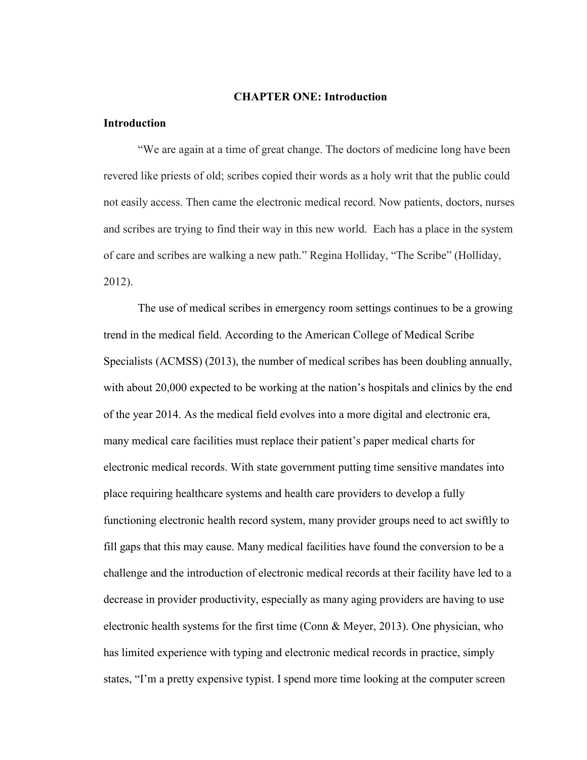#### **CHAPTER ONE: Introduction**

#### **Introduction**

"We are again at a time of great change. The doctors of medicine long have been revered like priests of old; scribes copied their words as a holy writ that the public could not easily access. Then came the electronic medical record. Now patients, doctors, nurses and scribes are trying to find their way in this new world. Each has a place in the system of care and scribes are walking a new path." Regina Holliday, "The Scribe" (Holliday, 2012).

The use of medical scribes in emergency room settings continues to be a growing trend in the medical field. According to the American College of Medical Scribe Specialists (ACMSS) (2013), the number of medical scribes has been doubling annually, with about 20,000 expected to be working at the nation's hospitals and clinics by the end of the year 2014. As the medical field evolves into a more digital and electronic era, many medical care facilities must replace their patient's paper medical charts for electronic medical records. With state government putting time sensitive mandates into place requiring healthcare systems and health care providers to develop a fully functioning electronic health record system, many provider groups need to act swiftly to fill gaps that this may cause. Many medical facilities have found the conversion to be a challenge and the introduction of electronic medical records at their facility have led to a decrease in provider productivity, especially as many aging providers are having to use electronic health systems for the first time (Conn & Meyer, 2013). One physician, who has limited experience with typing and electronic medical records in practice, simply states, "I'm a pretty expensive typist. I spend more time looking at the computer screen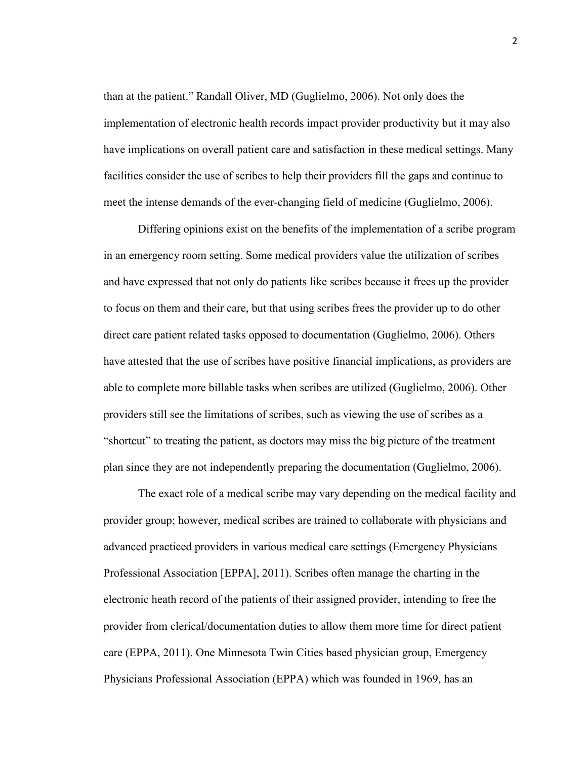than at the patient." Randall Oliver, MD (Guglielmo, 2006). Not only does the implementation of electronic health records impact provider productivity but it may also have implications on overall patient care and satisfaction in these medical settings. Many facilities consider the use of scribes to help their providers fill the gaps and continue to meet the intense demands of the ever-changing field of medicine (Guglielmo, 2006).

Differing opinions exist on the benefits of the implementation of a scribe program in an emergency room setting. Some medical providers value the utilization of scribes and have expressed that not only do patients like scribes because it frees up the provider to focus on them and their care, but that using scribes frees the provider up to do other direct care patient related tasks opposed to documentation (Guglielmo, 2006). Others have attested that the use of scribes have positive financial implications, as providers are able to complete more billable tasks when scribes are utilized (Guglielmo, 2006). Other providers still see the limitations of scribes, such as viewing the use of scribes as a "shortcut" to treating the patient, as doctors may miss the big picture of the treatment plan since they are not independently preparing the documentation (Guglielmo, 2006).

The exact role of a medical scribe may vary depending on the medical facility and provider group; however, medical scribes are trained to collaborate with physicians and advanced practiced providers in various medical care settings (Emergency Physicians Professional Association [EPPA], 2011). Scribes often manage the charting in the electronic heath record of the patients of their assigned provider, intending to free the provider from clerical/documentation duties to allow them more time for direct patient care (EPPA, 2011). One Minnesota Twin Cities based physician group, Emergency Physicians Professional Association (EPPA) which was founded in 1969, has an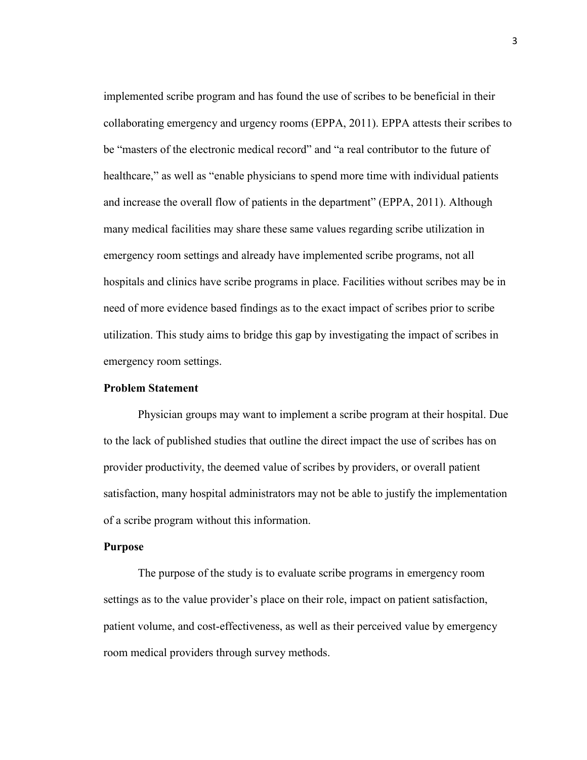implemented scribe program and has found the use of scribes to be beneficial in their collaborating emergency and urgency rooms (EPPA, 2011). EPPA attests their scribes to be "masters of the electronic medical record" and "a real contributor to the future of healthcare," as well as "enable physicians to spend more time with individual patients and increase the overall flow of patients in the department" (EPPA, 2011). Although many medical facilities may share these same values regarding scribe utilization in emergency room settings and already have implemented scribe programs, not all hospitals and clinics have scribe programs in place. Facilities without scribes may be in need of more evidence based findings as to the exact impact of scribes prior to scribe utilization. This study aims to bridge this gap by investigating the impact of scribes in emergency room settings.

#### **Problem Statement**

 Physician groups may want to implement a scribe program at their hospital. Due to the lack of published studies that outline the direct impact the use of scribes has on provider productivity, the deemed value of scribes by providers, or overall patient satisfaction, many hospital administrators may not be able to justify the implementation of a scribe program without this information.

#### **Purpose**

The purpose of the study is to evaluate scribe programs in emergency room settings as to the value provider's place on their role, impact on patient satisfaction, patient volume, and cost-effectiveness, as well as their perceived value by emergency room medical providers through survey methods.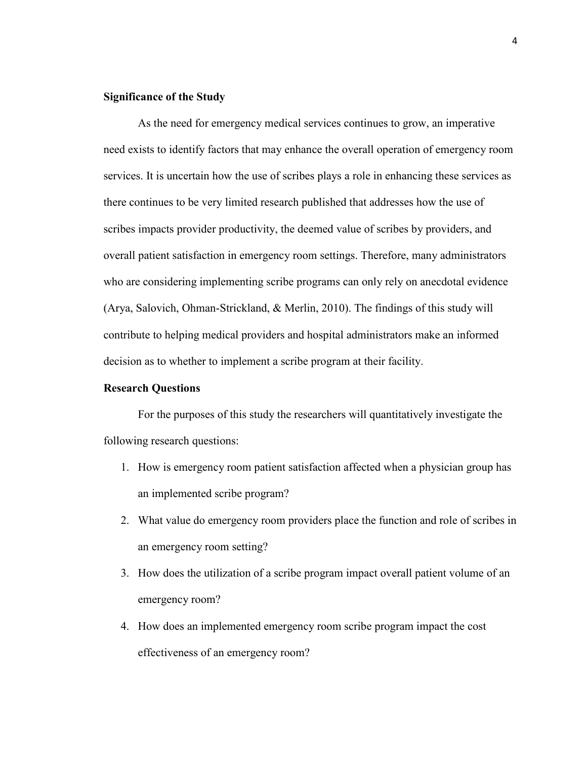#### **Significance of the Study**

As the need for emergency medical services continues to grow, an imperative need exists to identify factors that may enhance the overall operation of emergency room services. It is uncertain how the use of scribes plays a role in enhancing these services as there continues to be very limited research published that addresses how the use of scribes impacts provider productivity, the deemed value of scribes by providers, and overall patient satisfaction in emergency room settings. Therefore, many administrators who are considering implementing scribe programs can only rely on anecdotal evidence (Arya, Salovich, Ohman-Strickland, & Merlin, 2010). The findings of this study will contribute to helping medical providers and hospital administrators make an informed decision as to whether to implement a scribe program at their facility.

#### **Research Questions**

 For the purposes of this study the researchers will quantitatively investigate the following research questions:

- 1. How is emergency room patient satisfaction affected when a physician group has an implemented scribe program?
- 2. What value do emergency room providers place the function and role of scribes in an emergency room setting?
- 3. How does the utilization of a scribe program impact overall patient volume of an emergency room?
- 4. How does an implemented emergency room scribe program impact the cost effectiveness of an emergency room?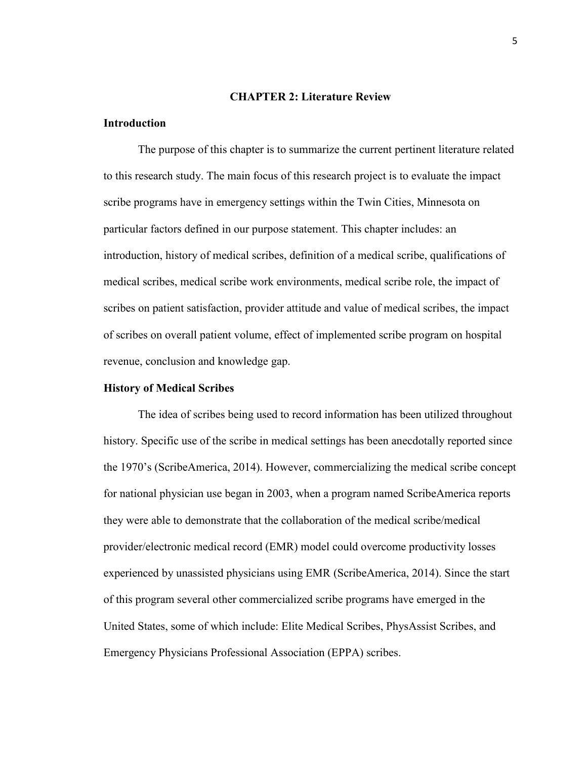#### **CHAPTER 2: Literature Review**

#### **Introduction**

The purpose of this chapter is to summarize the current pertinent literature related to this research study. The main focus of this research project is to evaluate the impact scribe programs have in emergency settings within the Twin Cities, Minnesota on particular factors defined in our purpose statement. This chapter includes: an introduction, history of medical scribes, definition of a medical scribe, qualifications of medical scribes, medical scribe work environments, medical scribe role, the impact of scribes on patient satisfaction, provider attitude and value of medical scribes, the impact of scribes on overall patient volume, effect of implemented scribe program on hospital revenue, conclusion and knowledge gap.

#### **History of Medical Scribes**

The idea of scribes being used to record information has been utilized throughout history. Specific use of the scribe in medical settings has been anecdotally reported since the 1970's (ScribeAmerica, 2014). However, commercializing the medical scribe concept for national physician use began in 2003, when a program named ScribeAmerica reports they were able to demonstrate that the collaboration of the medical scribe/medical provider/electronic medical record (EMR) model could overcome productivity losses experienced by unassisted physicians using EMR (ScribeAmerica, 2014). Since the start of this program several other commercialized scribe programs have emerged in the United States, some of which include: Elite Medical Scribes, PhysAssist Scribes, and Emergency Physicians Professional Association (EPPA) scribes.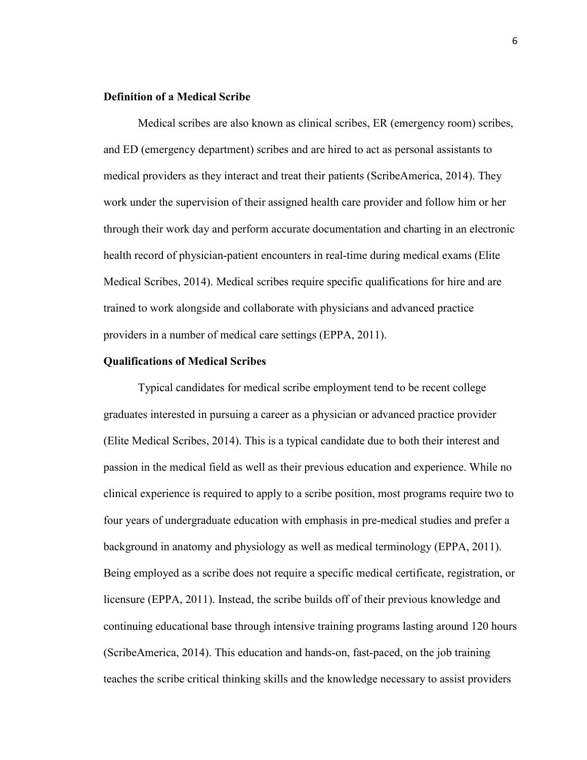#### **Definition of a Medical Scribe**

Medical scribes are also known as clinical scribes, ER (emergency room) scribes, and ED (emergency department) scribes and are hired to act as personal assistants to medical providers as they interact and treat their patients (ScribeAmerica, 2014). They work under the supervision of their assigned health care provider and follow him or her through their work day and perform accurate documentation and charting in an electronic health record of physician-patient encounters in real-time during medical exams (Elite Medical Scribes, 2014). Medical scribes require specific qualifications for hire and are trained to work alongside and collaborate with physicians and advanced practice providers in a number of medical care settings (EPPA, 2011).

#### **Qualifications of Medical Scribes**

Typical candidates for medical scribe employment tend to be recent college graduates interested in pursuing a career as a physician or advanced practice provider (Elite Medical Scribes, 2014). This is a typical candidate due to both their interest and passion in the medical field as well as their previous education and experience. While no clinical experience is required to apply to a scribe position, most programs require two to four years of undergraduate education with emphasis in pre-medical studies and prefer a background in anatomy and physiology as well as medical terminology (EPPA, 2011). Being employed as a scribe does not require a specific medical certificate, registration, or licensure (EPPA, 2011). Instead, the scribe builds off of their previous knowledge and continuing educational base through intensive training programs lasting around 120 hours (ScribeAmerica, 2014). This education and hands-on, fast-paced, on the job training teaches the scribe critical thinking skills and the knowledge necessary to assist providers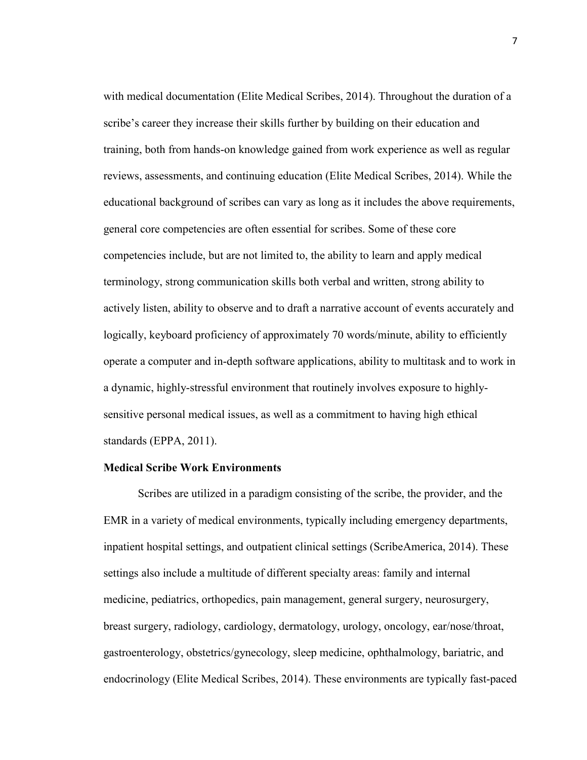with medical documentation (Elite Medical Scribes, 2014). Throughout the duration of a scribe's career they increase their skills further by building on their education and training, both from hands-on knowledge gained from work experience as well as regular reviews, assessments, and continuing education (Elite Medical Scribes, 2014). While the educational background of scribes can vary as long as it includes the above requirements, general core competencies are often essential for scribes. Some of these core competencies include, but are not limited to, the ability to learn and apply medical terminology, strong communication skills both verbal and written, strong ability to actively listen, ability to observe and to draft a narrative account of events accurately and logically, keyboard proficiency of approximately 70 words/minute, ability to efficiently operate a computer and in-depth software applications, ability to multitask and to work in a dynamic, highly-stressful environment that routinely involves exposure to highlysensitive personal medical issues, as well as a commitment to having high ethical standards (EPPA, 2011).

#### **Medical Scribe Work Environments**

Scribes are utilized in a paradigm consisting of the scribe, the provider, and the EMR in a variety of medical environments, typically including emergency departments, inpatient hospital settings, and outpatient clinical settings (ScribeAmerica, 2014). These settings also include a multitude of different specialty areas: family and internal medicine, pediatrics, orthopedics, pain management, general surgery, neurosurgery, breast surgery, radiology, cardiology, dermatology, urology, oncology, ear/nose/throat, gastroenterology, obstetrics/gynecology, sleep medicine, ophthalmology, bariatric, and endocrinology (Elite Medical Scribes, 2014). These environments are typically fast-paced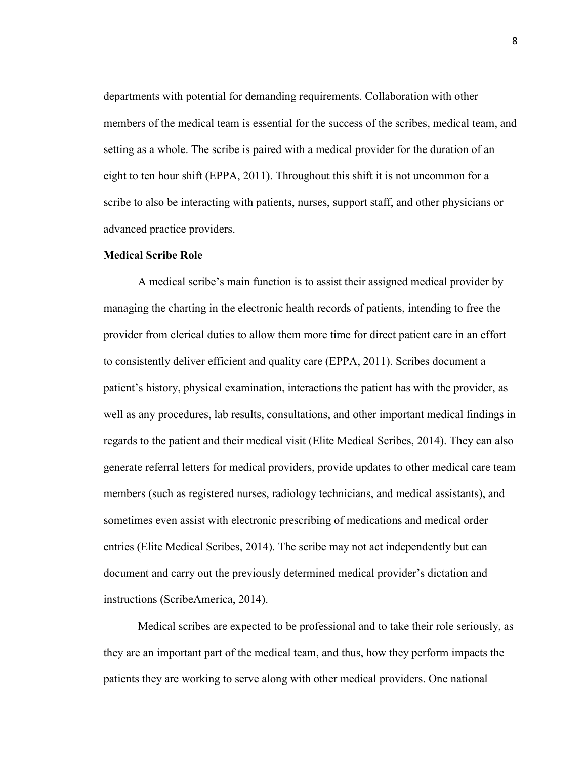departments with potential for demanding requirements. Collaboration with other members of the medical team is essential for the success of the scribes, medical team, and setting as a whole. The scribe is paired with a medical provider for the duration of an eight to ten hour shift (EPPA, 2011). Throughout this shift it is not uncommon for a scribe to also be interacting with patients, nurses, support staff, and other physicians or advanced practice providers.

#### **Medical Scribe Role**

A medical scribe's main function is to assist their assigned medical provider by managing the charting in the electronic health records of patients, intending to free the provider from clerical duties to allow them more time for direct patient care in an effort to consistently deliver efficient and quality care (EPPA, 2011). Scribes document a patient's history, physical examination, interactions the patient has with the provider, as well as any procedures, lab results, consultations, and other important medical findings in regards to the patient and their medical visit (Elite Medical Scribes, 2014). They can also generate referral letters for medical providers, provide updates to other medical care team members (such as registered nurses, radiology technicians, and medical assistants), and sometimes even assist with electronic prescribing of medications and medical order entries (Elite Medical Scribes, 2014). The scribe may not act independently but can document and carry out the previously determined medical provider's dictation and instructions (ScribeAmerica, 2014).

Medical scribes are expected to be professional and to take their role seriously, as they are an important part of the medical team, and thus, how they perform impacts the patients they are working to serve along with other medical providers. One national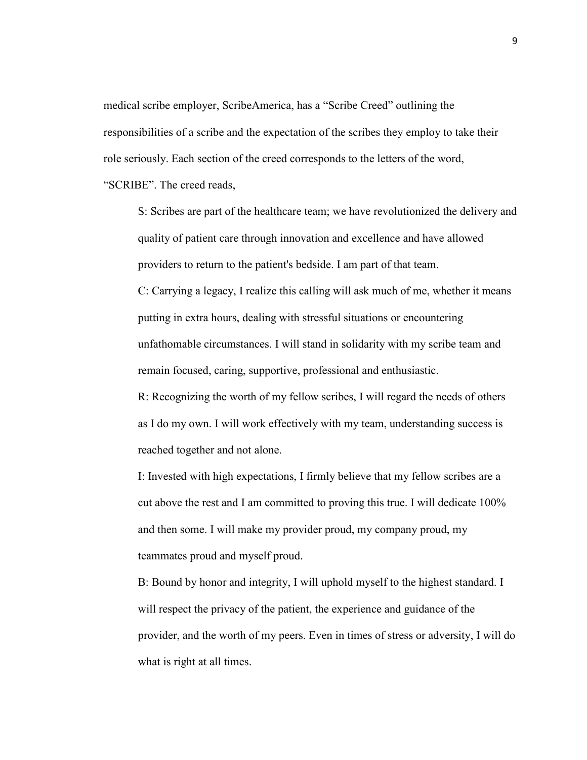medical scribe employer, ScribeAmerica, has a "Scribe Creed" outlining the responsibilities of a scribe and the expectation of the scribes they employ to take their role seriously. Each section of the creed corresponds to the letters of the word, "SCRIBE". The creed reads,

S: Scribes are part of the healthcare team; we have revolutionized the delivery and quality of patient care through innovation and excellence and have allowed providers to return to the patient's bedside. I am part of that team.

C: Carrying a legacy, I realize this calling will ask much of me, whether it means putting in extra hours, dealing with stressful situations or encountering unfathomable circumstances. I will stand in solidarity with my scribe team and remain focused, caring, supportive, professional and enthusiastic.

R: Recognizing the worth of my fellow scribes, I will regard the needs of others as I do my own. I will work effectively with my team, understanding success is reached together and not alone.

I: Invested with high expectations, I firmly believe that my fellow scribes are a cut above the rest and I am committed to proving this true. I will dedicate 100% and then some. I will make my provider proud, my company proud, my teammates proud and myself proud.

B: Bound by honor and integrity, I will uphold myself to the highest standard. I will respect the privacy of the patient, the experience and guidance of the provider, and the worth of my peers. Even in times of stress or adversity, I will do what is right at all times.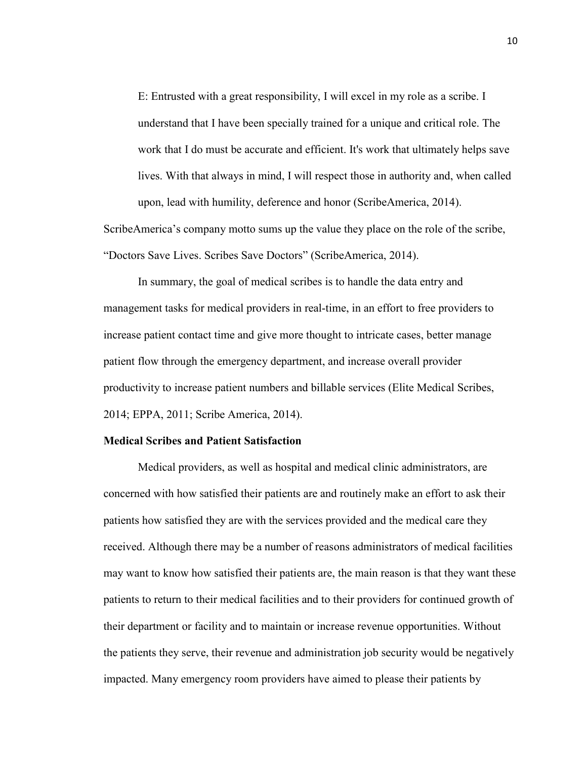E: Entrusted with a great responsibility, I will excel in my role as a scribe. I understand that I have been specially trained for a unique and critical role. The work that I do must be accurate and efficient. It's work that ultimately helps save lives. With that always in mind, I will respect those in authority and, when called upon, lead with humility, deference and honor (ScribeAmerica, 2014).

ScribeAmerica's company motto sums up the value they place on the role of the scribe, "Doctors Save Lives. Scribes Save Doctors" (ScribeAmerica, 2014).

In summary, the goal of medical scribes is to handle the data entry and management tasks for medical providers in real-time, in an effort to free providers to increase patient contact time and give more thought to intricate cases, better manage patient flow through the emergency department, and increase overall provider productivity to increase patient numbers and billable services (Elite Medical Scribes, 2014; EPPA, 2011; Scribe America, 2014).

#### **Medical Scribes and Patient Satisfaction**

Medical providers, as well as hospital and medical clinic administrators, are concerned with how satisfied their patients are and routinely make an effort to ask their patients how satisfied they are with the services provided and the medical care they received. Although there may be a number of reasons administrators of medical facilities may want to know how satisfied their patients are, the main reason is that they want these patients to return to their medical facilities and to their providers for continued growth of their department or facility and to maintain or increase revenue opportunities. Without the patients they serve, their revenue and administration job security would be negatively impacted. Many emergency room providers have aimed to please their patients by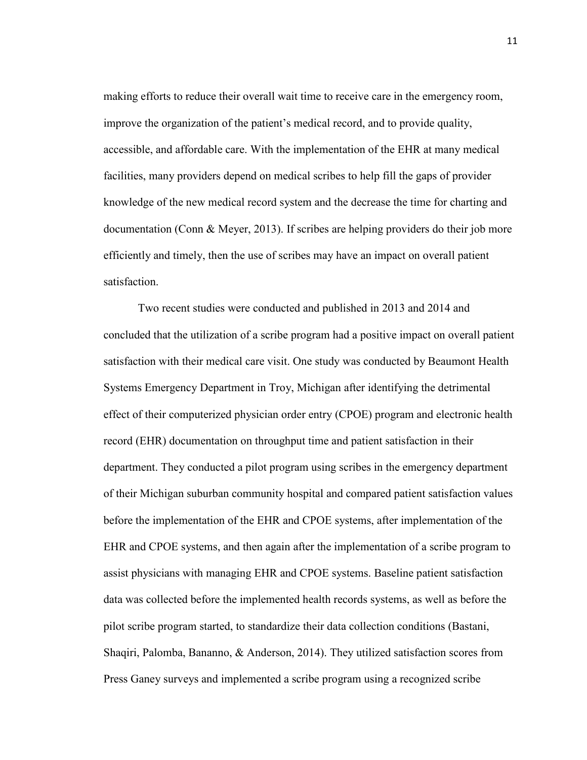making efforts to reduce their overall wait time to receive care in the emergency room, improve the organization of the patient's medical record, and to provide quality, accessible, and affordable care. With the implementation of the EHR at many medical facilities, many providers depend on medical scribes to help fill the gaps of provider knowledge of the new medical record system and the decrease the time for charting and documentation (Conn & Meyer, 2013). If scribes are helping providers do their job more efficiently and timely, then the use of scribes may have an impact on overall patient satisfaction.

Two recent studies were conducted and published in 2013 and 2014 and concluded that the utilization of a scribe program had a positive impact on overall patient satisfaction with their medical care visit. One study was conducted by Beaumont Health Systems Emergency Department in Troy, Michigan after identifying the detrimental effect of their computerized physician order entry (CPOE) program and electronic health record (EHR) documentation on throughput time and patient satisfaction in their department. They conducted a pilot program using scribes in the emergency department of their Michigan suburban community hospital and compared patient satisfaction values before the implementation of the EHR and CPOE systems, after implementation of the EHR and CPOE systems, and then again after the implementation of a scribe program to assist physicians with managing EHR and CPOE systems. Baseline patient satisfaction data was collected before the implemented health records systems, as well as before the pilot scribe program started, to standardize their data collection conditions (Bastani, Shaqiri, Palomba, Bananno, & Anderson, 2014). They utilized satisfaction scores from Press Ganey surveys and implemented a scribe program using a recognized scribe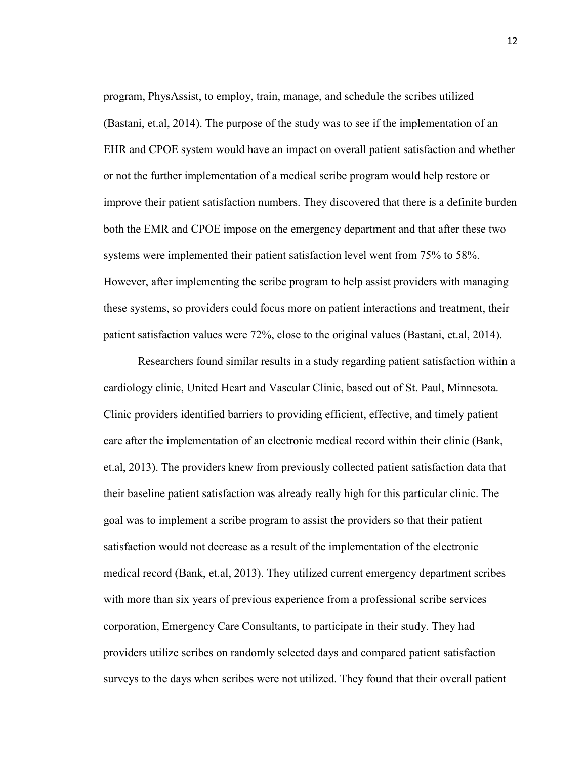program, PhysAssist, to employ, train, manage, and schedule the scribes utilized (Bastani, et.al, 2014). The purpose of the study was to see if the implementation of an EHR and CPOE system would have an impact on overall patient satisfaction and whether or not the further implementation of a medical scribe program would help restore or improve their patient satisfaction numbers. They discovered that there is a definite burden both the EMR and CPOE impose on the emergency department and that after these two systems were implemented their patient satisfaction level went from 75% to 58%. However, after implementing the scribe program to help assist providers with managing these systems, so providers could focus more on patient interactions and treatment, their patient satisfaction values were 72%, close to the original values (Bastani, et.al, 2014).

Researchers found similar results in a study regarding patient satisfaction within a cardiology clinic, United Heart and Vascular Clinic, based out of St. Paul, Minnesota. Clinic providers identified barriers to providing efficient, effective, and timely patient care after the implementation of an electronic medical record within their clinic (Bank, et.al, 2013). The providers knew from previously collected patient satisfaction data that their baseline patient satisfaction was already really high for this particular clinic. The goal was to implement a scribe program to assist the providers so that their patient satisfaction would not decrease as a result of the implementation of the electronic medical record (Bank, et.al, 2013). They utilized current emergency department scribes with more than six years of previous experience from a professional scribe services corporation, Emergency Care Consultants, to participate in their study. They had providers utilize scribes on randomly selected days and compared patient satisfaction surveys to the days when scribes were not utilized. They found that their overall patient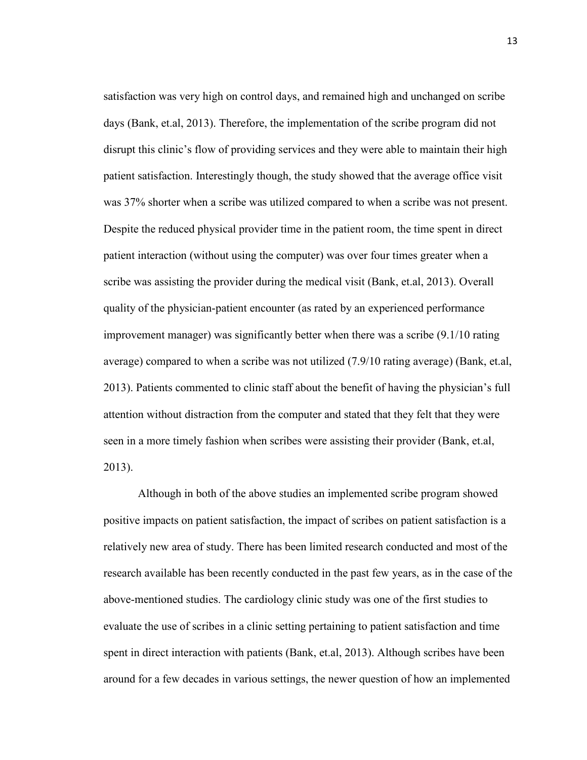satisfaction was very high on control days, and remained high and unchanged on scribe days (Bank, et.al, 2013). Therefore, the implementation of the scribe program did not disrupt this clinic's flow of providing services and they were able to maintain their high patient satisfaction. Interestingly though, the study showed that the average office visit was 37% shorter when a scribe was utilized compared to when a scribe was not present. Despite the reduced physical provider time in the patient room, the time spent in direct patient interaction (without using the computer) was over four times greater when a scribe was assisting the provider during the medical visit (Bank, et.al, 2013). Overall quality of the physician-patient encounter (as rated by an experienced performance improvement manager) was significantly better when there was a scribe (9.1/10 rating average) compared to when a scribe was not utilized (7.9/10 rating average) (Bank, et.al, 2013). Patients commented to clinic staff about the benefit of having the physician's full attention without distraction from the computer and stated that they felt that they were seen in a more timely fashion when scribes were assisting their provider (Bank, et.al, 2013).

Although in both of the above studies an implemented scribe program showed positive impacts on patient satisfaction, the impact of scribes on patient satisfaction is a relatively new area of study. There has been limited research conducted and most of the research available has been recently conducted in the past few years, as in the case of the above-mentioned studies. The cardiology clinic study was one of the first studies to evaluate the use of scribes in a clinic setting pertaining to patient satisfaction and time spent in direct interaction with patients (Bank, et.al, 2013). Although scribes have been around for a few decades in various settings, the newer question of how an implemented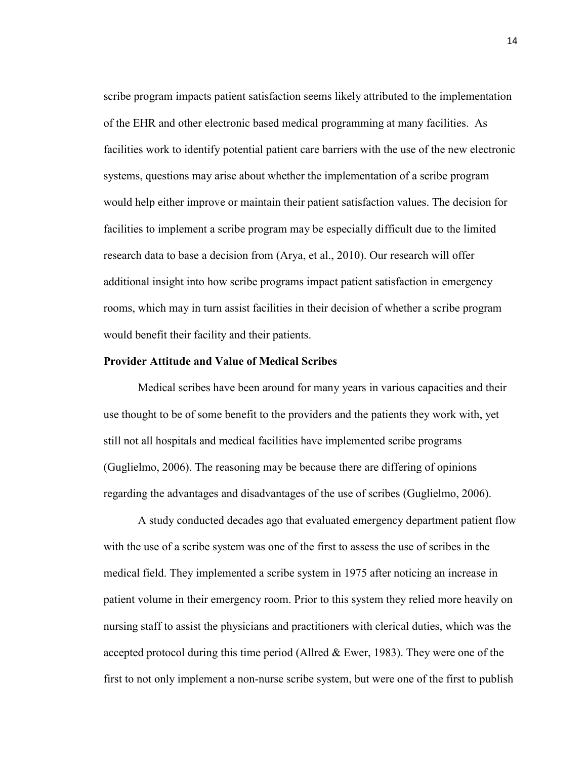scribe program impacts patient satisfaction seems likely attributed to the implementation of the EHR and other electronic based medical programming at many facilities. As facilities work to identify potential patient care barriers with the use of the new electronic systems, questions may arise about whether the implementation of a scribe program would help either improve or maintain their patient satisfaction values. The decision for facilities to implement a scribe program may be especially difficult due to the limited research data to base a decision from (Arya, et al., 2010). Our research will offer additional insight into how scribe programs impact patient satisfaction in emergency rooms, which may in turn assist facilities in their decision of whether a scribe program would benefit their facility and their patients.

#### **Provider Attitude and Value of Medical Scribes**

Medical scribes have been around for many years in various capacities and their use thought to be of some benefit to the providers and the patients they work with, yet still not all hospitals and medical facilities have implemented scribe programs (Guglielmo, 2006). The reasoning may be because there are differing of opinions regarding the advantages and disadvantages of the use of scribes (Guglielmo, 2006).

A study conducted decades ago that evaluated emergency department patient flow with the use of a scribe system was one of the first to assess the use of scribes in the medical field. They implemented a scribe system in 1975 after noticing an increase in patient volume in their emergency room. Prior to this system they relied more heavily on nursing staff to assist the physicians and practitioners with clerical duties, which was the accepted protocol during this time period (Allred  $& Ewer, 1983$ ). They were one of the first to not only implement a non-nurse scribe system, but were one of the first to publish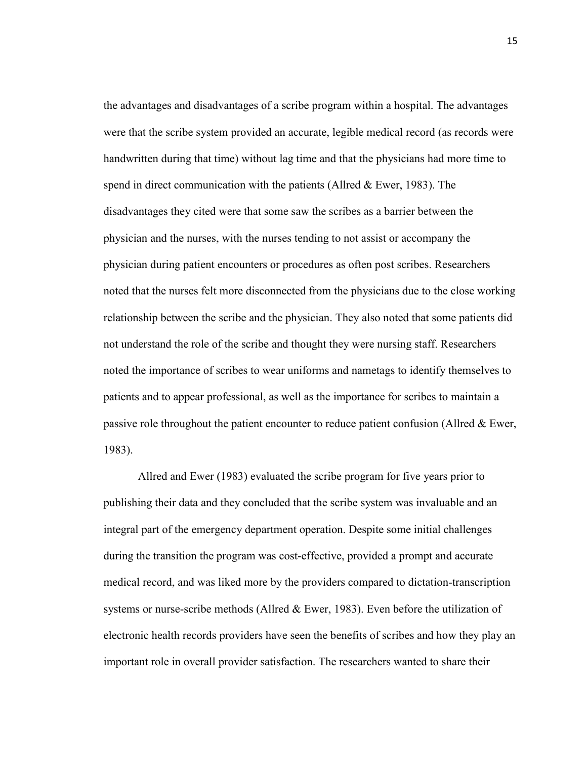the advantages and disadvantages of a scribe program within a hospital. The advantages were that the scribe system provided an accurate, legible medical record (as records were handwritten during that time) without lag time and that the physicians had more time to spend in direct communication with the patients (Allred  $& Ewer, 1983$ ). The disadvantages they cited were that some saw the scribes as a barrier between the physician and the nurses, with the nurses tending to not assist or accompany the physician during patient encounters or procedures as often post scribes. Researchers noted that the nurses felt more disconnected from the physicians due to the close working relationship between the scribe and the physician. They also noted that some patients did not understand the role of the scribe and thought they were nursing staff. Researchers noted the importance of scribes to wear uniforms and nametags to identify themselves to patients and to appear professional, as well as the importance for scribes to maintain a passive role throughout the patient encounter to reduce patient confusion (Allred & Ewer, 1983).

Allred and Ewer (1983) evaluated the scribe program for five years prior to publishing their data and they concluded that the scribe system was invaluable and an integral part of the emergency department operation. Despite some initial challenges during the transition the program was cost-effective, provided a prompt and accurate medical record, and was liked more by the providers compared to dictation-transcription systems or nurse-scribe methods (Allred & Ewer, 1983). Even before the utilization of electronic health records providers have seen the benefits of scribes and how they play an important role in overall provider satisfaction. The researchers wanted to share their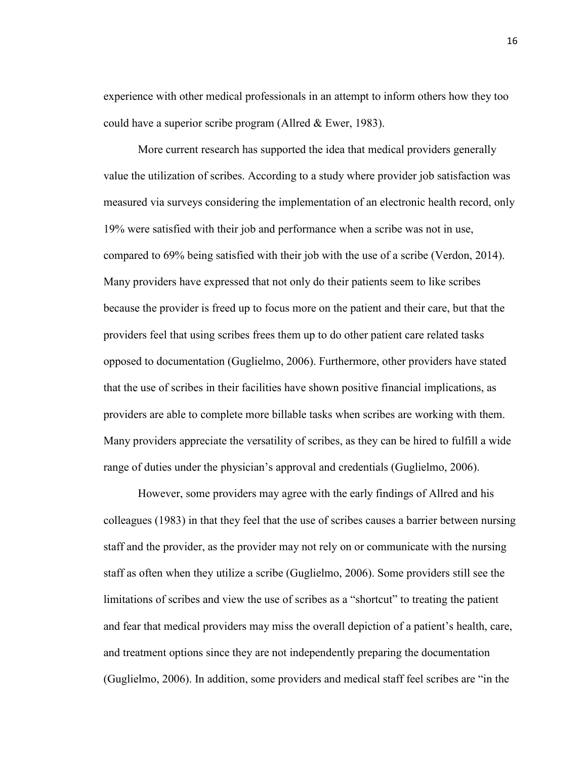experience with other medical professionals in an attempt to inform others how they too could have a superior scribe program (Allred & Ewer, 1983).

More current research has supported the idea that medical providers generally value the utilization of scribes. According to a study where provider job satisfaction was measured via surveys considering the implementation of an electronic health record, only 19% were satisfied with their job and performance when a scribe was not in use, compared to 69% being satisfied with their job with the use of a scribe (Verdon, 2014). Many providers have expressed that not only do their patients seem to like scribes because the provider is freed up to focus more on the patient and their care, but that the providers feel that using scribes frees them up to do other patient care related tasks opposed to documentation (Guglielmo, 2006). Furthermore, other providers have stated that the use of scribes in their facilities have shown positive financial implications, as providers are able to complete more billable tasks when scribes are working with them. Many providers appreciate the versatility of scribes, as they can be hired to fulfill a wide range of duties under the physician's approval and credentials (Guglielmo, 2006).

However, some providers may agree with the early findings of Allred and his colleagues (1983) in that they feel that the use of scribes causes a barrier between nursing staff and the provider, as the provider may not rely on or communicate with the nursing staff as often when they utilize a scribe (Guglielmo, 2006). Some providers still see the limitations of scribes and view the use of scribes as a "shortcut" to treating the patient and fear that medical providers may miss the overall depiction of a patient's health, care, and treatment options since they are not independently preparing the documentation (Guglielmo, 2006). In addition, some providers and medical staff feel scribes are "in the

16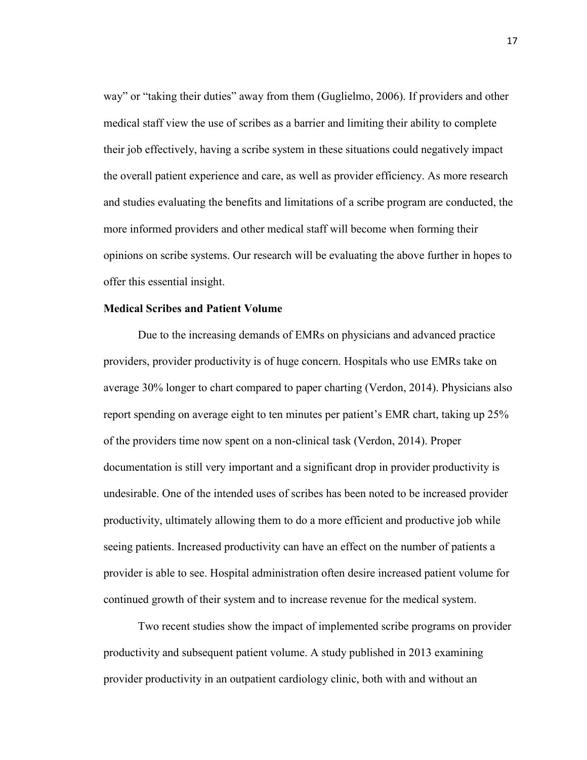way" or "taking their duties" away from them (Guglielmo, 2006). If providers and other medical staff view the use of scribes as a barrier and limiting their ability to complete their job effectively, having a scribe system in these situations could negatively impact the overall patient experience and care, as well as provider efficiency. As more research and studies evaluating the benefits and limitations of a scribe program are conducted, the more informed providers and other medical staff will become when forming their opinions on scribe systems. Our research will be evaluating the above further in hopes to offer this essential insight.

## **Medical Scribes and Patient Volume**

Due to the increasing demands of EMRs on physicians and advanced practice providers, provider productivity is of huge concern. Hospitals who use EMRs take on average 30% longer to chart compared to paper charting (Verdon, 2014). Physicians also report spending on average eight to ten minutes per patient's EMR chart, taking up 25% of the providers time now spent on a non-clinical task (Verdon, 2014). Proper documentation is still very important and a significant drop in provider productivity is undesirable. One of the intended uses of scribes has been noted to be increased provider productivity, ultimately allowing them to do a more efficient and productive job while seeing patients. Increased productivity can have an effect on the number of patients a provider is able to see. Hospital administration often desire increased patient volume for continued growth of their system and to increase revenue for the medical system.

Two recent studies show the impact of implemented scribe programs on provider productivity and subsequent patient volume. A study published in 2013 examining provider productivity in an outpatient cardiology clinic, both with and without an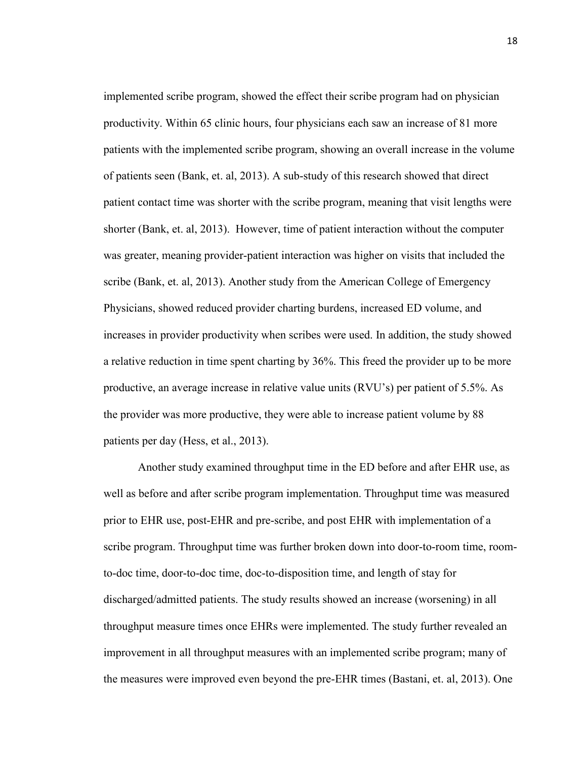implemented scribe program, showed the effect their scribe program had on physician productivity. Within 65 clinic hours, four physicians each saw an increase of 81 more patients with the implemented scribe program, showing an overall increase in the volume of patients seen (Bank, et. al, 2013). A sub-study of this research showed that direct patient contact time was shorter with the scribe program, meaning that visit lengths were shorter (Bank, et. al, 2013). However, time of patient interaction without the computer was greater, meaning provider-patient interaction was higher on visits that included the scribe (Bank, et. al, 2013). Another study from the American College of Emergency Physicians, showed reduced provider charting burdens, increased ED volume, and increases in provider productivity when scribes were used. In addition, the study showed a relative reduction in time spent charting by 36%. This freed the provider up to be more productive, an average increase in relative value units (RVU's) per patient of 5.5%. As the provider was more productive, they were able to increase patient volume by 88 patients per day (Hess, et al., 2013).

Another study examined throughput time in the ED before and after EHR use, as well as before and after scribe program implementation. Throughput time was measured prior to EHR use, post-EHR and pre-scribe, and post EHR with implementation of a scribe program. Throughput time was further broken down into door-to-room time, roomto-doc time, door-to-doc time, doc-to-disposition time, and length of stay for discharged/admitted patients. The study results showed an increase (worsening) in all throughput measure times once EHRs were implemented. The study further revealed an improvement in all throughput measures with an implemented scribe program; many of the measures were improved even beyond the pre-EHR times (Bastani, et. al, 2013). One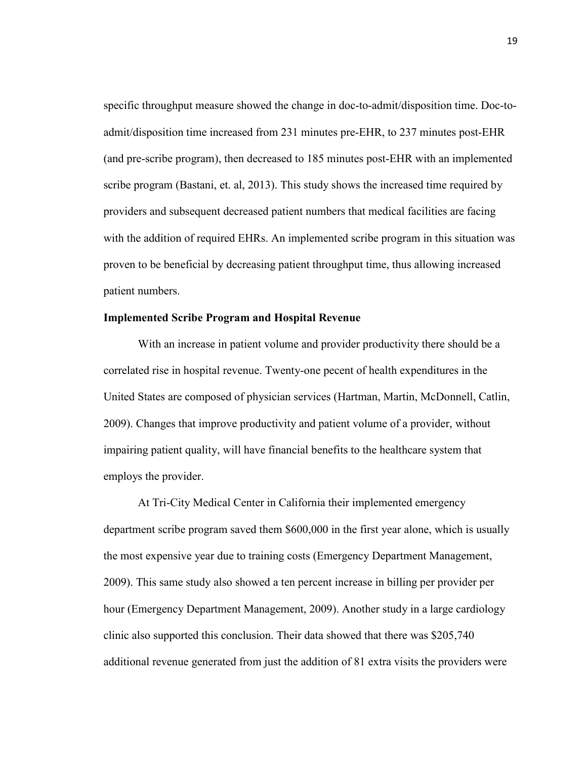specific throughput measure showed the change in doc-to-admit/disposition time. Doc-toadmit/disposition time increased from 231 minutes pre-EHR, to 237 minutes post-EHR (and pre-scribe program), then decreased to 185 minutes post-EHR with an implemented scribe program (Bastani, et. al, 2013). This study shows the increased time required by providers and subsequent decreased patient numbers that medical facilities are facing with the addition of required EHRs. An implemented scribe program in this situation was proven to be beneficial by decreasing patient throughput time, thus allowing increased patient numbers.

#### **Implemented Scribe Program and Hospital Revenue**

 With an increase in patient volume and provider productivity there should be a correlated rise in hospital revenue. Twenty-one pecent of health expenditures in the United States are composed of physician services (Hartman, Martin, McDonnell, Catlin, 2009). Changes that improve productivity and patient volume of a provider, without impairing patient quality, will have financial benefits to the healthcare system that employs the provider.

At Tri-City Medical Center in California their implemented emergency department scribe program saved them \$600,000 in the first year alone, which is usually the most expensive year due to training costs (Emergency Department Management, 2009). This same study also showed a ten percent increase in billing per provider per hour (Emergency Department Management, 2009). Another study in a large cardiology clinic also supported this conclusion. Their data showed that there was \$205,740 additional revenue generated from just the addition of 81 extra visits the providers were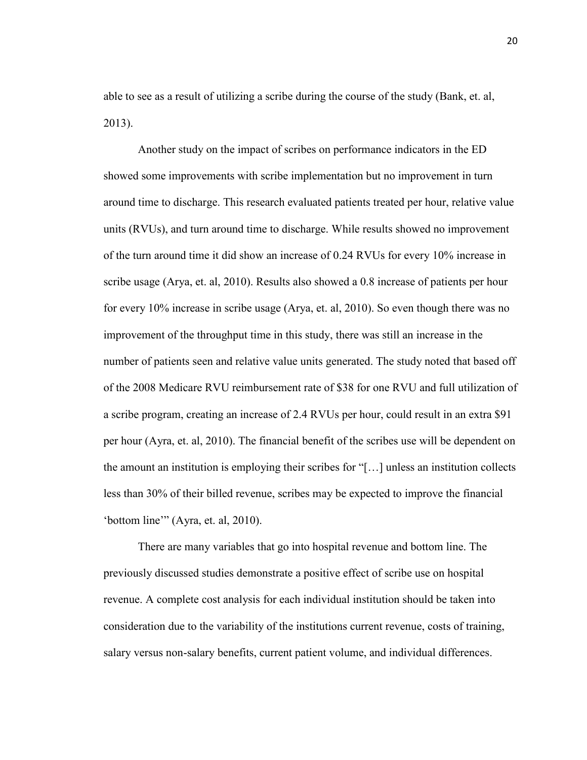able to see as a result of utilizing a scribe during the course of the study (Bank, et. al, 2013).

Another study on the impact of scribes on performance indicators in the ED showed some improvements with scribe implementation but no improvement in turn around time to discharge. This research evaluated patients treated per hour, relative value units (RVUs), and turn around time to discharge. While results showed no improvement of the turn around time it did show an increase of 0.24 RVUs for every 10% increase in scribe usage (Arya, et. al, 2010). Results also showed a 0.8 increase of patients per hour for every 10% increase in scribe usage (Arya, et. al, 2010). So even though there was no improvement of the throughput time in this study, there was still an increase in the number of patients seen and relative value units generated. The study noted that based off of the 2008 Medicare RVU reimbursement rate of \$38 for one RVU and full utilization of a scribe program, creating an increase of 2.4 RVUs per hour, could result in an extra \$91 per hour (Ayra, et. al, 2010). The financial benefit of the scribes use will be dependent on the amount an institution is employing their scribes for "[…] unless an institution collects less than 30% of their billed revenue, scribes may be expected to improve the financial 'bottom line'" (Ayra, et. al, 2010).

There are many variables that go into hospital revenue and bottom line. The previously discussed studies demonstrate a positive effect of scribe use on hospital revenue. A complete cost analysis for each individual institution should be taken into consideration due to the variability of the institutions current revenue, costs of training, salary versus non-salary benefits, current patient volume, and individual differences.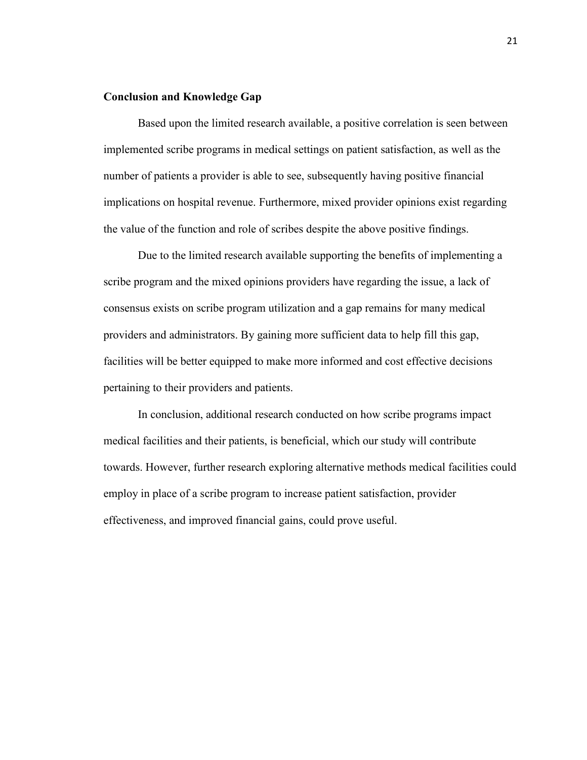#### **Conclusion and Knowledge Gap**

Based upon the limited research available, a positive correlation is seen between implemented scribe programs in medical settings on patient satisfaction, as well as the number of patients a provider is able to see, subsequently having positive financial implications on hospital revenue. Furthermore, mixed provider opinions exist regarding the value of the function and role of scribes despite the above positive findings.

Due to the limited research available supporting the benefits of implementing a scribe program and the mixed opinions providers have regarding the issue, a lack of consensus exists on scribe program utilization and a gap remains for many medical providers and administrators. By gaining more sufficient data to help fill this gap, facilities will be better equipped to make more informed and cost effective decisions pertaining to their providers and patients.

In conclusion, additional research conducted on how scribe programs impact medical facilities and their patients, is beneficial, which our study will contribute towards. However, further research exploring alternative methods medical facilities could employ in place of a scribe program to increase patient satisfaction, provider effectiveness, and improved financial gains, could prove useful.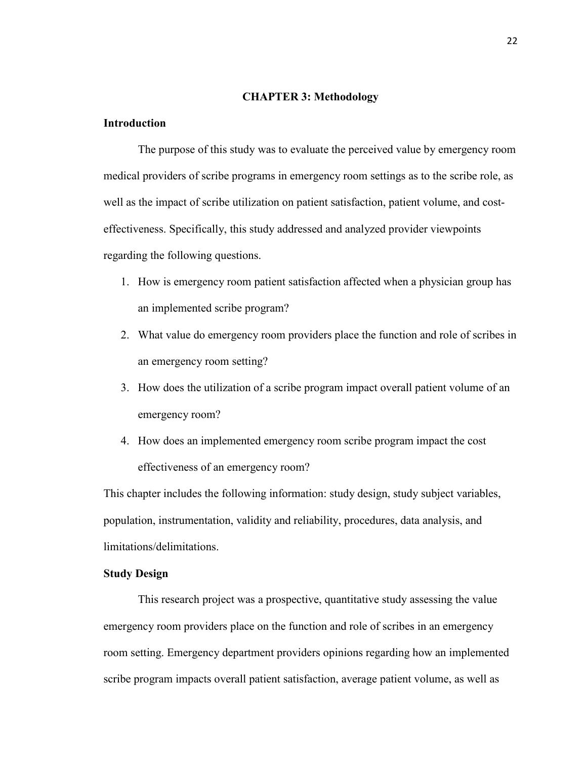#### **CHAPTER 3: Methodology**

#### **Introduction**

The purpose of this study was to evaluate the perceived value by emergency room medical providers of scribe programs in emergency room settings as to the scribe role, as well as the impact of scribe utilization on patient satisfaction, patient volume, and costeffectiveness. Specifically, this study addressed and analyzed provider viewpoints regarding the following questions.

- 1. How is emergency room patient satisfaction affected when a physician group has an implemented scribe program?
- 2. What value do emergency room providers place the function and role of scribes in an emergency room setting?
- 3. How does the utilization of a scribe program impact overall patient volume of an emergency room?
- 4. How does an implemented emergency room scribe program impact the cost effectiveness of an emergency room?

This chapter includes the following information: study design, study subject variables, population, instrumentation, validity and reliability, procedures, data analysis, and limitations/delimitations.

#### **Study Design**

This research project was a prospective, quantitative study assessing the value emergency room providers place on the function and role of scribes in an emergency room setting. Emergency department providers opinions regarding how an implemented scribe program impacts overall patient satisfaction, average patient volume, as well as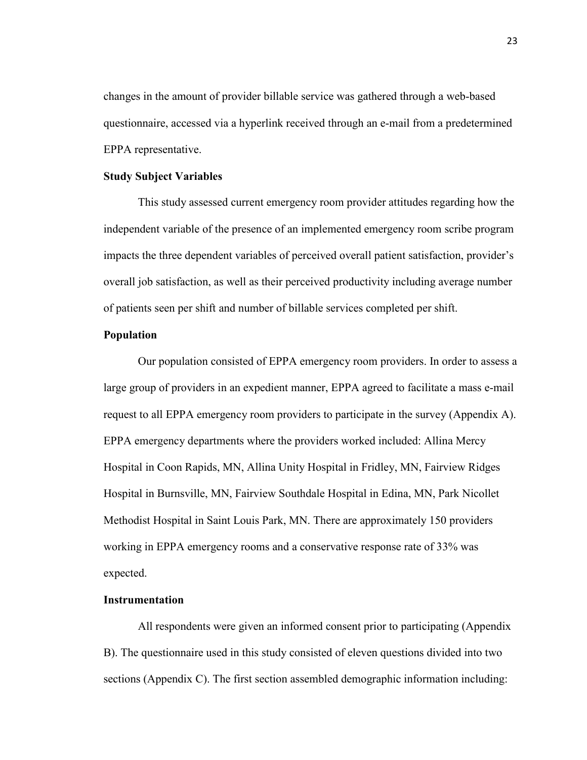changes in the amount of provider billable service was gathered through a web-based questionnaire, accessed via a hyperlink received through an e-mail from a predetermined EPPA representative.

#### **Study Subject Variables**

This study assessed current emergency room provider attitudes regarding how the independent variable of the presence of an implemented emergency room scribe program impacts the three dependent variables of perceived overall patient satisfaction, provider's overall job satisfaction, as well as their perceived productivity including average number of patients seen per shift and number of billable services completed per shift.

#### **Population**

Our population consisted of EPPA emergency room providers. In order to assess a large group of providers in an expedient manner, EPPA agreed to facilitate a mass e-mail request to all EPPA emergency room providers to participate in the survey (Appendix A). EPPA emergency departments where the providers worked included: Allina Mercy Hospital in Coon Rapids, MN, Allina Unity Hospital in Fridley, MN, Fairview Ridges Hospital in Burnsville, MN, Fairview Southdale Hospital in Edina, MN, Park Nicollet Methodist Hospital in Saint Louis Park, MN. There are approximately 150 providers working in EPPA emergency rooms and a conservative response rate of 33% was expected.

#### **Instrumentation**

All respondents were given an informed consent prior to participating (Appendix B). The questionnaire used in this study consisted of eleven questions divided into two sections (Appendix C). The first section assembled demographic information including: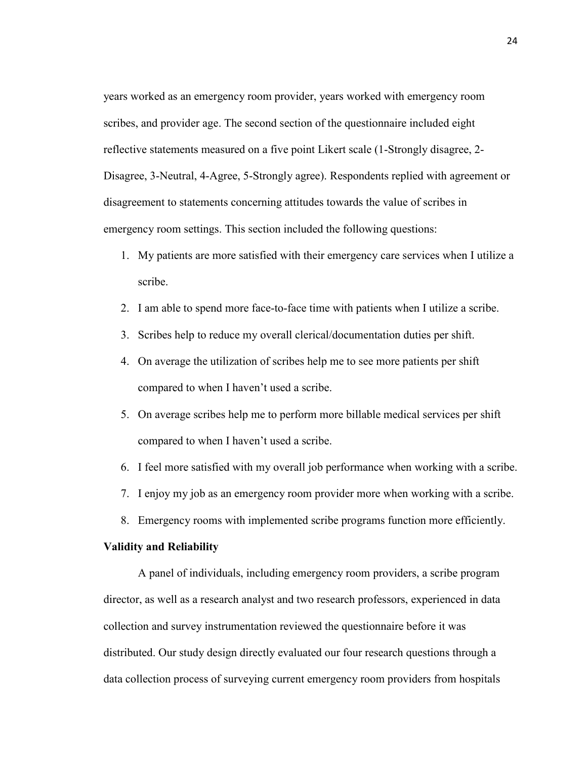years worked as an emergency room provider, years worked with emergency room scribes, and provider age. The second section of the questionnaire included eight reflective statements measured on a five point Likert scale (1-Strongly disagree, 2- Disagree, 3-Neutral, 4-Agree, 5-Strongly agree). Respondents replied with agreement or disagreement to statements concerning attitudes towards the value of scribes in emergency room settings. This section included the following questions:

- 1. My patients are more satisfied with their emergency care services when I utilize a scribe.
- 2. I am able to spend more face-to-face time with patients when I utilize a scribe.
- 3. Scribes help to reduce my overall clerical/documentation duties per shift.
- 4. On average the utilization of scribes help me to see more patients per shift compared to when I haven't used a scribe.
- 5. On average scribes help me to perform more billable medical services per shift compared to when I haven't used a scribe.
- 6. I feel more satisfied with my overall job performance when working with a scribe.
- 7. I enjoy my job as an emergency room provider more when working with a scribe.
- 8. Emergency rooms with implemented scribe programs function more efficiently.

#### **Validity and Reliability**

A panel of individuals, including emergency room providers, a scribe program director, as well as a research analyst and two research professors, experienced in data collection and survey instrumentation reviewed the questionnaire before it was distributed. Our study design directly evaluated our four research questions through a data collection process of surveying current emergency room providers from hospitals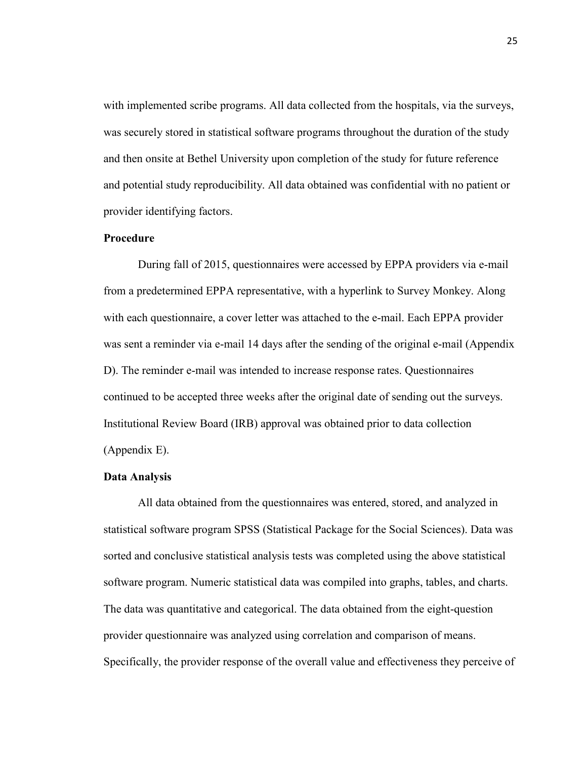with implemented scribe programs. All data collected from the hospitals, via the surveys, was securely stored in statistical software programs throughout the duration of the study and then onsite at Bethel University upon completion of the study for future reference and potential study reproducibility. All data obtained was confidential with no patient or provider identifying factors.

### **Procedure**

During fall of 2015, questionnaires were accessed by EPPA providers via e-mail from a predetermined EPPA representative, with a hyperlink to Survey Monkey. Along with each questionnaire, a cover letter was attached to the e-mail. Each EPPA provider was sent a reminder via e-mail 14 days after the sending of the original e-mail (Appendix D). The reminder e-mail was intended to increase response rates. Questionnaires continued to be accepted three weeks after the original date of sending out the surveys. Institutional Review Board (IRB) approval was obtained prior to data collection (Appendix E).

#### **Data Analysis**

All data obtained from the questionnaires was entered, stored, and analyzed in statistical software program SPSS (Statistical Package for the Social Sciences). Data was sorted and conclusive statistical analysis tests was completed using the above statistical software program. Numeric statistical data was compiled into graphs, tables, and charts. The data was quantitative and categorical. The data obtained from the eight-question provider questionnaire was analyzed using correlation and comparison of means. Specifically, the provider response of the overall value and effectiveness they perceive of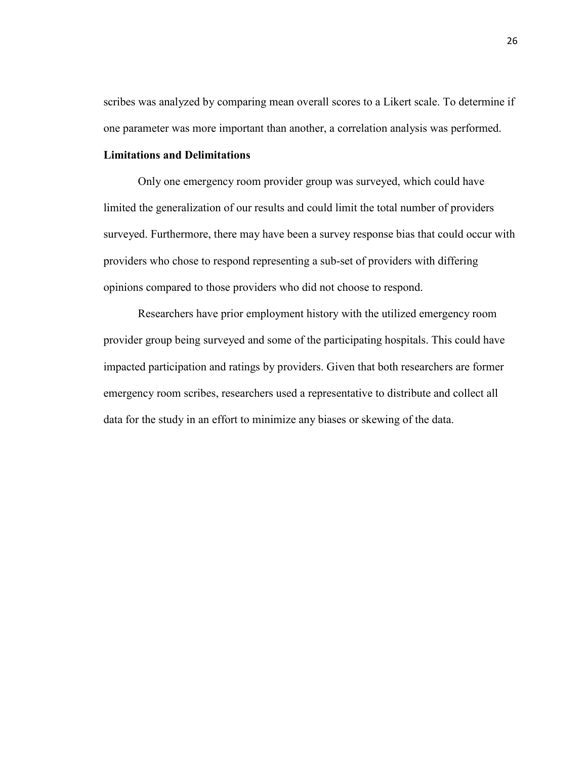scribes was analyzed by comparing mean overall scores to a Likert scale. To determine if one parameter was more important than another, a correlation analysis was performed.

## **Limitations and Delimitations**

Only one emergency room provider group was surveyed, which could have limited the generalization of our results and could limit the total number of providers surveyed. Furthermore, there may have been a survey response bias that could occur with providers who chose to respond representing a sub-set of providers with differing opinions compared to those providers who did not choose to respond.

Researchers have prior employment history with the utilized emergency room provider group being surveyed and some of the participating hospitals. This could have impacted participation and ratings by providers. Given that both researchers are former emergency room scribes, researchers used a representative to distribute and collect all data for the study in an effort to minimize any biases or skewing of the data.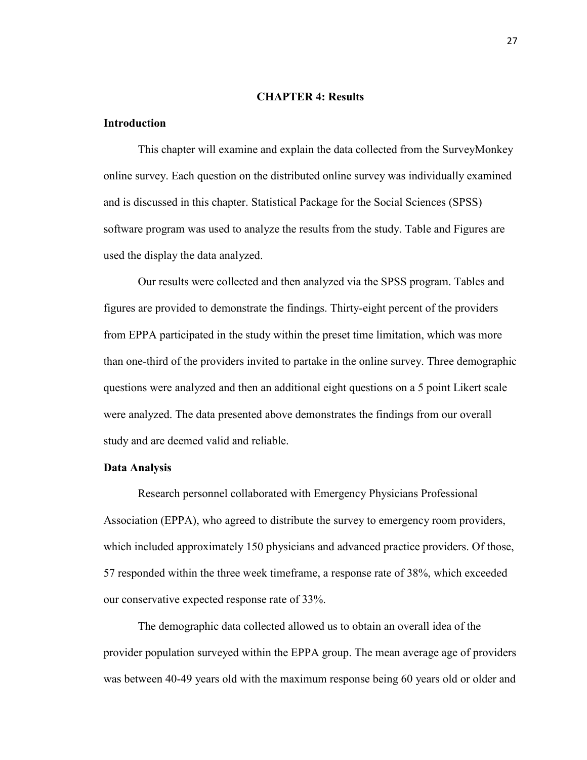#### **CHAPTER 4: Results**

#### **Introduction**

 This chapter will examine and explain the data collected from the SurveyMonkey online survey. Each question on the distributed online survey was individually examined and is discussed in this chapter. Statistical Package for the Social Sciences (SPSS) software program was used to analyze the results from the study. Table and Figures are used the display the data analyzed.

 Our results were collected and then analyzed via the SPSS program. Tables and figures are provided to demonstrate the findings. Thirty-eight percent of the providers from EPPA participated in the study within the preset time limitation, which was more than one-third of the providers invited to partake in the online survey. Three demographic questions were analyzed and then an additional eight questions on a 5 point Likert scale were analyzed. The data presented above demonstrates the findings from our overall study and are deemed valid and reliable.

#### **Data Analysis**

Research personnel collaborated with Emergency Physicians Professional Association (EPPA), who agreed to distribute the survey to emergency room providers, which included approximately 150 physicians and advanced practice providers. Of those, 57 responded within the three week timeframe, a response rate of 38%, which exceeded our conservative expected response rate of 33%.

The demographic data collected allowed us to obtain an overall idea of the provider population surveyed within the EPPA group. The mean average age of providers was between 40-49 years old with the maximum response being 60 years old or older and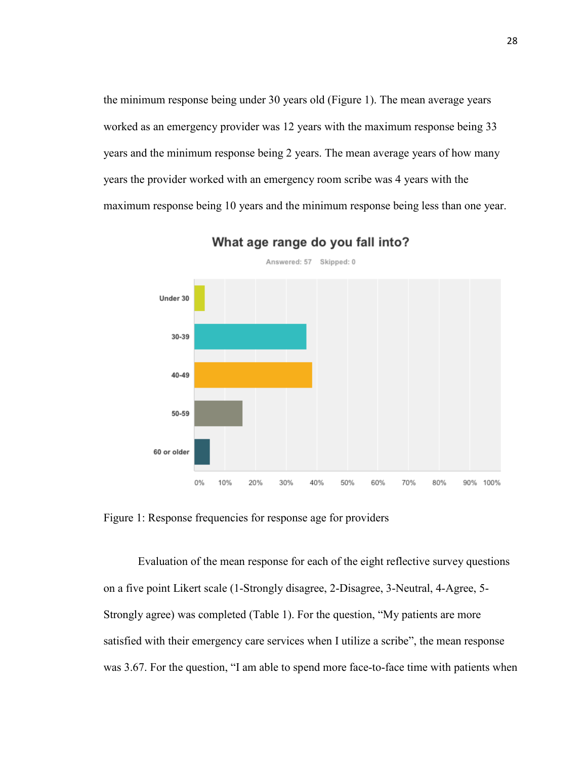the minimum response being under 30 years old (Figure 1). The mean average years worked as an emergency provider was 12 years with the maximum response being 33 years and the minimum response being 2 years. The mean average years of how many years the provider worked with an emergency room scribe was 4 years with the maximum response being 10 years and the minimum response being less than one year.



What age range do you fall into?

Figure 1: Response frequencies for response age for providers

 Evaluation of the mean response for each of the eight reflective survey questions on a five point Likert scale (1-Strongly disagree, 2-Disagree, 3-Neutral, 4-Agree, 5- Strongly agree) was completed (Table 1). For the question, "My patients are more satisfied with their emergency care services when I utilize a scribe", the mean response was 3.67. For the question, "I am able to spend more face-to-face time with patients when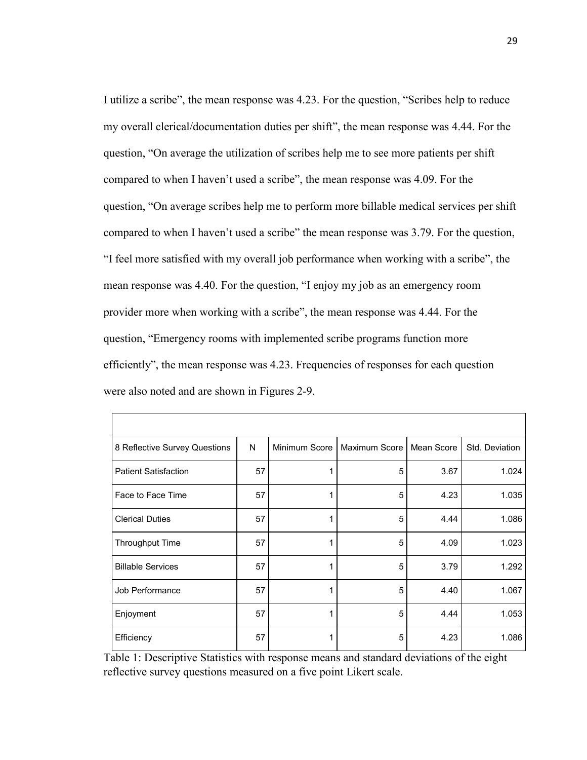I utilize a scribe", the mean response was 4.23. For the question, "Scribes help to reduce my overall clerical/documentation duties per shift", the mean response was 4.44. For the question, "On average the utilization of scribes help me to see more patients per shift compared to when I haven't used a scribe", the mean response was 4.09. For the question, "On average scribes help me to perform more billable medical services per shift compared to when I haven't used a scribe" the mean response was 3.79. For the question, "I feel more satisfied with my overall job performance when working with a scribe", the mean response was 4.40. For the question, "I enjoy my job as an emergency room provider more when working with a scribe", the mean response was 4.44. For the question, "Emergency rooms with implemented scribe programs function more efficiently", the mean response was 4.23. Frequencies of responses for each question were also noted and are shown in Figures 2-9.

| 8 Reflective Survey Questions | N  | Minimum Score | Maximum Score I | Mean Score | Std. Deviation |
|-------------------------------|----|---------------|-----------------|------------|----------------|
| <b>Patient Satisfaction</b>   | 57 |               | 5               | 3.67       | 1.024          |
| Face to Face Time             | 57 |               | 5               | 4.23       | 1.035          |
| <b>Clerical Duties</b>        | 57 |               | 5               | 4.44       | 1.086          |
| <b>Throughput Time</b>        | 57 |               | 5               | 4.09       | 1.023          |
| <b>Billable Services</b>      | 57 |               | 5               | 3.79       | 1.292          |
| Job Performance               | 57 |               | 5               | 4.40       | 1.067          |
| Enjoyment                     | 57 |               | 5               | 4.44       | 1.053          |
| Efficiency                    | 57 |               | 5               | 4.23       | 1.086          |

Table 1: Descriptive Statistics with response means and standard deviations of the eight reflective survey questions measured on a five point Likert scale.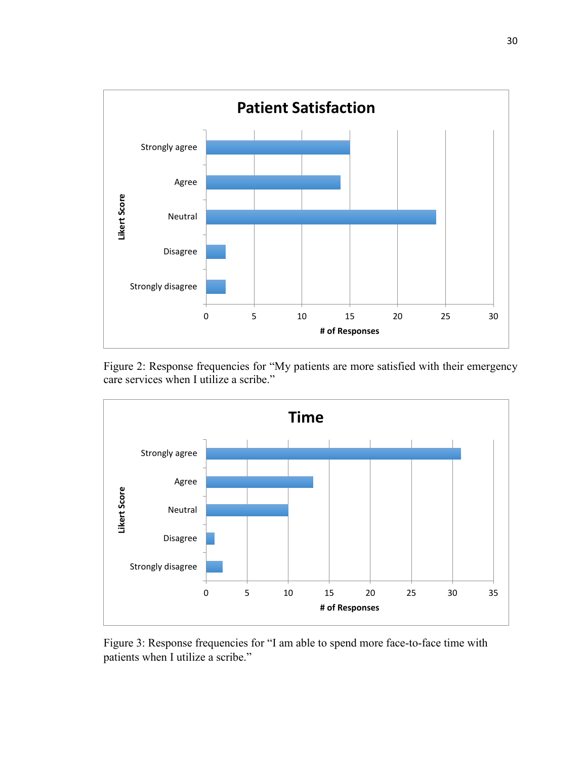

Figure 2: Response frequencies for "My patients are more satisfied with their emergency care services when I utilize a scribe."



Figure 3: Response frequencies for "I am able to spend more face-to-face time with patients when I utilize a scribe."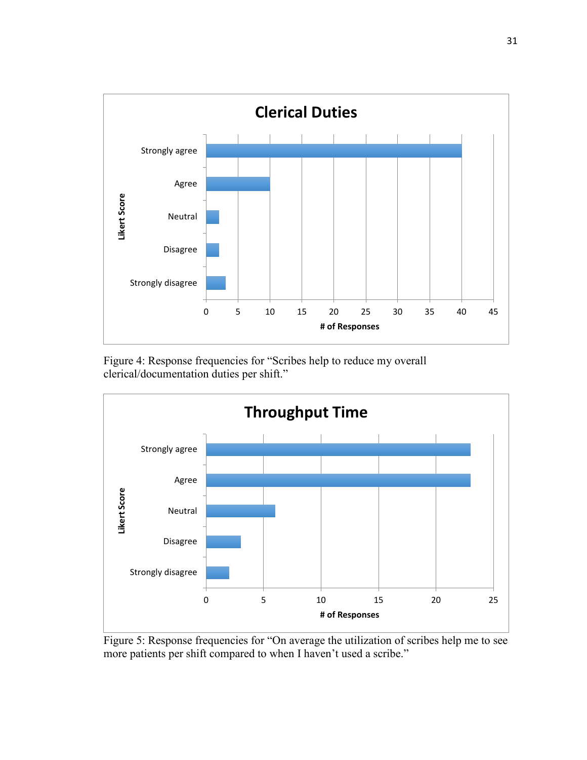

Figure 4: Response frequencies for "Scribes help to reduce my overall clerical/documentation duties per shift."



Figure 5: Response frequencies for "On average the utilization of scribes help me to see more patients per shift compared to when I haven't used a scribe."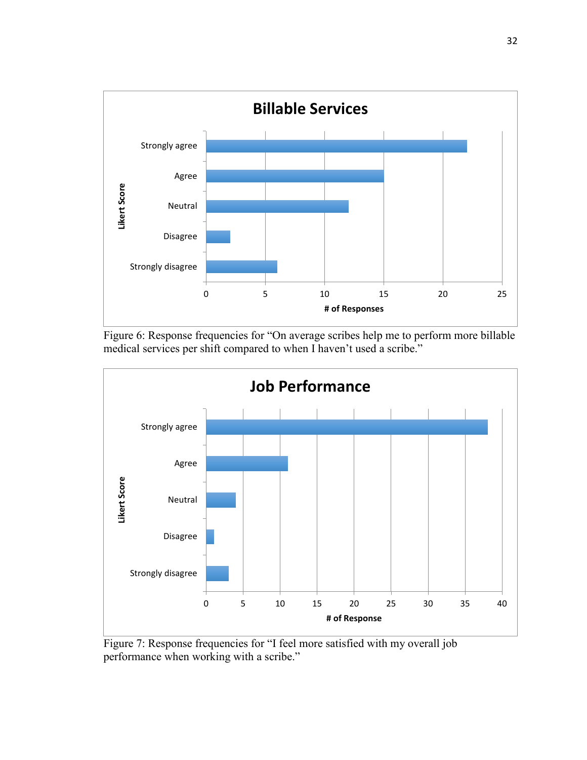





Figure 7: Response frequencies for "I feel more satisfied with my overall job performance when working with a scribe."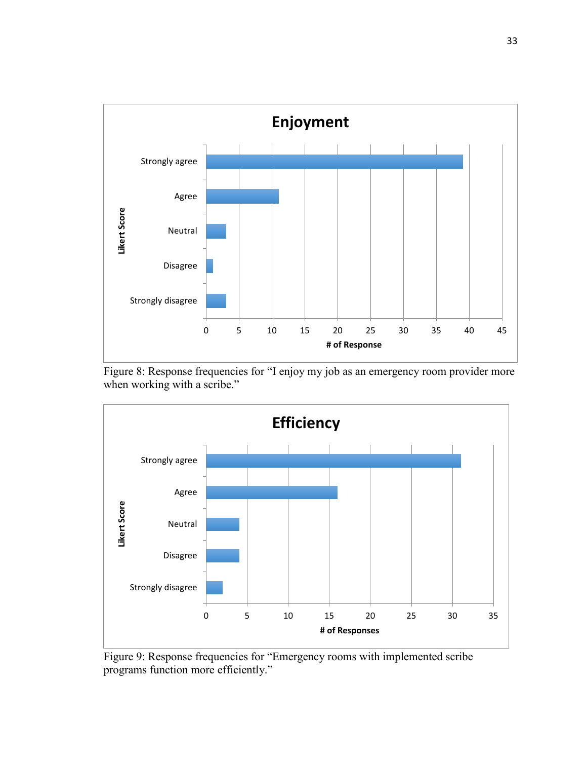





Figure 9: Response frequencies for "Emergency rooms with implemented scribe programs function more efficiently."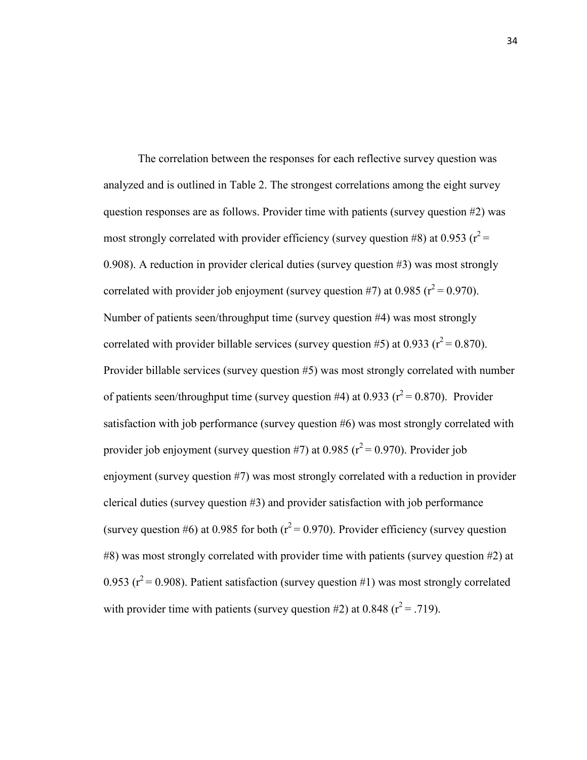The correlation between the responses for each reflective survey question was analyzed and is outlined in Table 2. The strongest correlations among the eight survey question responses are as follows. Provider time with patients (survey question #2) was most strongly correlated with provider efficiency (survey question #8) at 0.953 ( $r^2$  = 0.908). A reduction in provider clerical duties (survey question #3) was most strongly correlated with provider job enjoyment (survey question #7) at 0.985 ( $r^2$  = 0.970). Number of patients seen/throughput time (survey question #4) was most strongly correlated with provider billable services (survey question #5) at 0.933 ( $r^2$  = 0.870). Provider billable services (survey question #5) was most strongly correlated with number of patients seen/throughput time (survey question #4) at 0.933 ( $r^2$  = 0.870). Provider satisfaction with job performance (survey question #6) was most strongly correlated with provider job enjoyment (survey question #7) at 0.985 ( $r^2$  = 0.970). Provider job enjoyment (survey question #7) was most strongly correlated with a reduction in provider clerical duties (survey question #3) and provider satisfaction with job performance (survey question #6) at 0.985 for both ( $r^2$  = 0.970). Provider efficiency (survey question #8) was most strongly correlated with provider time with patients (survey question #2) at 0.953 ( $r^2$  = 0.908). Patient satisfaction (survey question #1) was most strongly correlated with provider time with patients (survey question #2) at 0.848 ( $r^2$  = .719).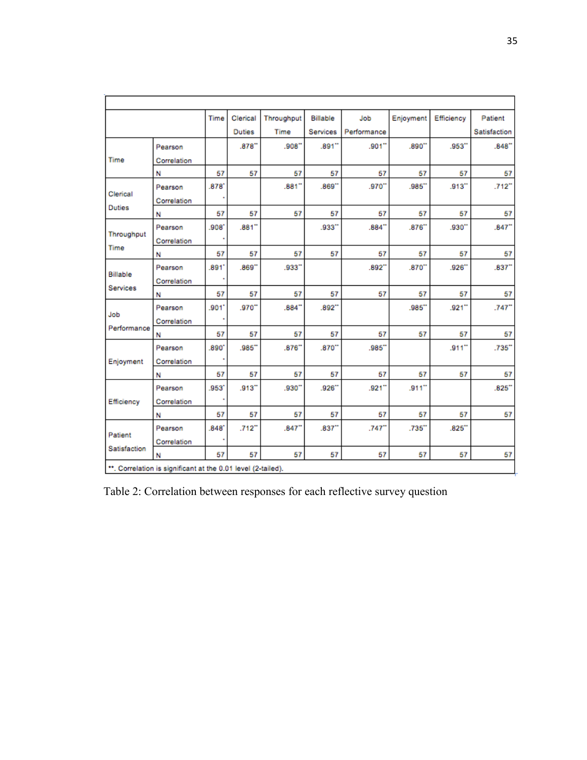|                 |             | Time  | Clerical             | Throughput | Billable | Job         | Enjoyment            | Efficiency | Patient              |
|-----------------|-------------|-------|----------------------|------------|----------|-------------|----------------------|------------|----------------------|
|                 |             |       | <b>Duties</b>        | Time       | Services | Performance |                      |            | Satisfaction         |
|                 | Pearson     |       | $.878$ <sup>**</sup> | .908"      | .891"    | .901"       | .890"                | .953"      | .848''               |
| Time            | Correlation |       |                      |            |          |             |                      |            |                      |
|                 | Ν           | 57    | 57                   | 57         | 57       | 57          | 57                   | 57         | 57                   |
|                 | Pearson     | .878' |                      | .881       | .869"    | .970"       | $.985$ <sup>**</sup> | .913"      | .712"                |
| Clerical        | Correlation |       |                      |            |          |             |                      |            |                      |
| <b>Duties</b>   | Ν           | 57    | 57                   | 57         | 57       | 57          | 57                   | 57         | 57                   |
|                 | Pearson     | '808. | .881''               |            | .933"    | .884''      | .876''               | .930"      | .847''               |
| Throughput      | Correlation |       |                      |            |          |             |                      |            |                      |
| Time            | Ν           | 57    | 57                   | 57         | 57       | 57          | 57                   | 57         | 57                   |
|                 | Pearson     | .891' | .869"                | .933"      |          | .892"       | .870''               | .926       | $.837$ <sup>**</sup> |
| <b>Billable</b> | Correlation |       |                      |            |          |             |                      |            |                      |
| Services        | N           | 57    | 57                   | 57         | 57       | 57          | 57                   | 57         | 57                   |
| Job             | Pearson     | .901  | .970"                | .884''     | .892"    |             | $.985$ <sup>**</sup> | .921       | .747"                |
|                 | Correlation |       |                      |            |          |             |                      |            |                      |
| Performance     | N           | 57    | 57                   | 57         | 57       | 57          | 57                   | 57         | 57                   |
|                 | Pearson     | .890  | .985"                | .876''     | .870     | .985"       |                      | $.911$ "   | .735"                |
| Enjoyment       | Correlation |       |                      |            |          |             |                      |            |                      |
|                 | Ν           | 57    | 57                   | 57         | 57       | 57          | 57                   | 57         | 57                   |
|                 | Pearson     | .953  | .913"                | .930"      | .926     | .921"       | $.911$ "             |            | .825'                |
| Efficiency      | Correlation |       |                      |            |          |             |                      |            |                      |
|                 | Ν           | 57    | 57                   | 57         | 57       | 57          | 57                   | 57         | 57                   |
|                 | Pearson     | .848' | .712"                | .847''     | .837''   | .747''      | $.735$ <sup>**</sup> | .825       |                      |
| Patient         | Correlation |       |                      |            |          |             |                      |            |                      |
| Satisfaction    | Ν           | 57    | 57                   | 57         | 57       | 57          | 57                   | 57         | 57                   |

Table 2: Correlation between responses for each reflective survey question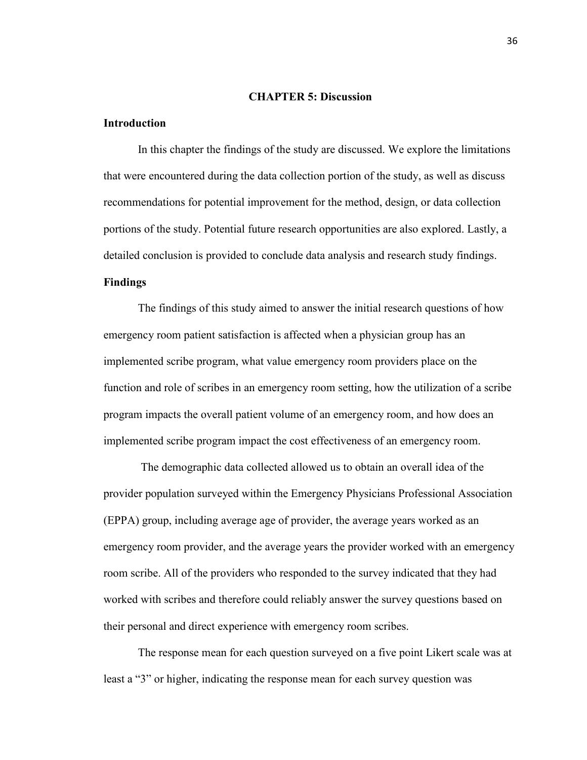#### **CHAPTER 5: Discussion**

#### **Introduction**

In this chapter the findings of the study are discussed. We explore the limitations that were encountered during the data collection portion of the study, as well as discuss recommendations for potential improvement for the method, design, or data collection portions of the study. Potential future research opportunities are also explored. Lastly, a detailed conclusion is provided to conclude data analysis and research study findings.

### **Findings**

 The findings of this study aimed to answer the initial research questions of how emergency room patient satisfaction is affected when a physician group has an implemented scribe program, what value emergency room providers place on the function and role of scribes in an emergency room setting, how the utilization of a scribe program impacts the overall patient volume of an emergency room, and how does an implemented scribe program impact the cost effectiveness of an emergency room.

 The demographic data collected allowed us to obtain an overall idea of the provider population surveyed within the Emergency Physicians Professional Association (EPPA) group, including average age of provider, the average years worked as an emergency room provider, and the average years the provider worked with an emergency room scribe. All of the providers who responded to the survey indicated that they had worked with scribes and therefore could reliably answer the survey questions based on their personal and direct experience with emergency room scribes.

 The response mean for each question surveyed on a five point Likert scale was at least a "3" or higher, indicating the response mean for each survey question was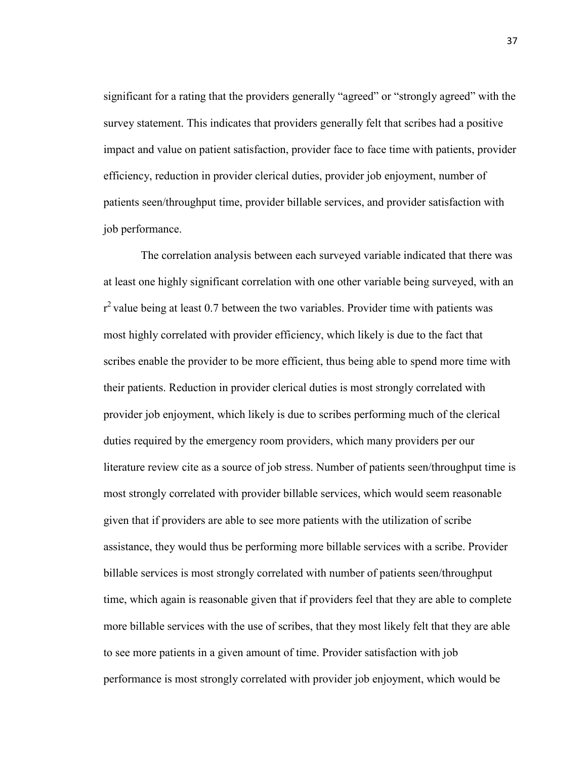significant for a rating that the providers generally "agreed" or "strongly agreed" with the survey statement. This indicates that providers generally felt that scribes had a positive impact and value on patient satisfaction, provider face to face time with patients, provider efficiency, reduction in provider clerical duties, provider job enjoyment, number of patients seen/throughput time, provider billable services, and provider satisfaction with job performance.

 The correlation analysis between each surveyed variable indicated that there was at least one highly significant correlation with one other variable being surveyed, with an  $r^2$  value being at least 0.7 between the two variables. Provider time with patients was most highly correlated with provider efficiency, which likely is due to the fact that scribes enable the provider to be more efficient, thus being able to spend more time with their patients. Reduction in provider clerical duties is most strongly correlated with provider job enjoyment, which likely is due to scribes performing much of the clerical duties required by the emergency room providers, which many providers per our literature review cite as a source of job stress. Number of patients seen/throughput time is most strongly correlated with provider billable services, which would seem reasonable given that if providers are able to see more patients with the utilization of scribe assistance, they would thus be performing more billable services with a scribe. Provider billable services is most strongly correlated with number of patients seen/throughput time, which again is reasonable given that if providers feel that they are able to complete more billable services with the use of scribes, that they most likely felt that they are able to see more patients in a given amount of time. Provider satisfaction with job performance is most strongly correlated with provider job enjoyment, which would be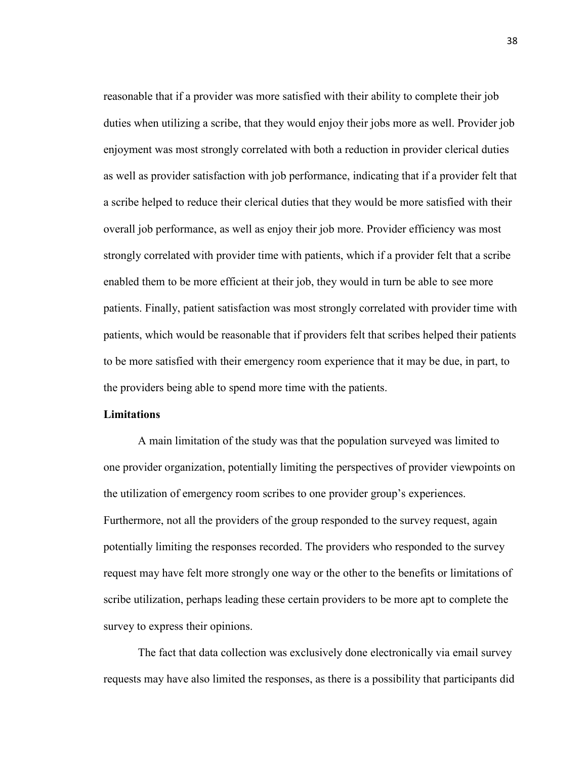reasonable that if a provider was more satisfied with their ability to complete their job duties when utilizing a scribe, that they would enjoy their jobs more as well. Provider job enjoyment was most strongly correlated with both a reduction in provider clerical duties as well as provider satisfaction with job performance, indicating that if a provider felt that a scribe helped to reduce their clerical duties that they would be more satisfied with their overall job performance, as well as enjoy their job more. Provider efficiency was most strongly correlated with provider time with patients, which if a provider felt that a scribe enabled them to be more efficient at their job, they would in turn be able to see more patients. Finally, patient satisfaction was most strongly correlated with provider time with patients, which would be reasonable that if providers felt that scribes helped their patients to be more satisfied with their emergency room experience that it may be due, in part, to the providers being able to spend more time with the patients.

#### **Limitations**

A main limitation of the study was that the population surveyed was limited to one provider organization, potentially limiting the perspectives of provider viewpoints on the utilization of emergency room scribes to one provider group's experiences. Furthermore, not all the providers of the group responded to the survey request, again potentially limiting the responses recorded. The providers who responded to the survey request may have felt more strongly one way or the other to the benefits or limitations of scribe utilization, perhaps leading these certain providers to be more apt to complete the survey to express their opinions.

The fact that data collection was exclusively done electronically via email survey requests may have also limited the responses, as there is a possibility that participants did

38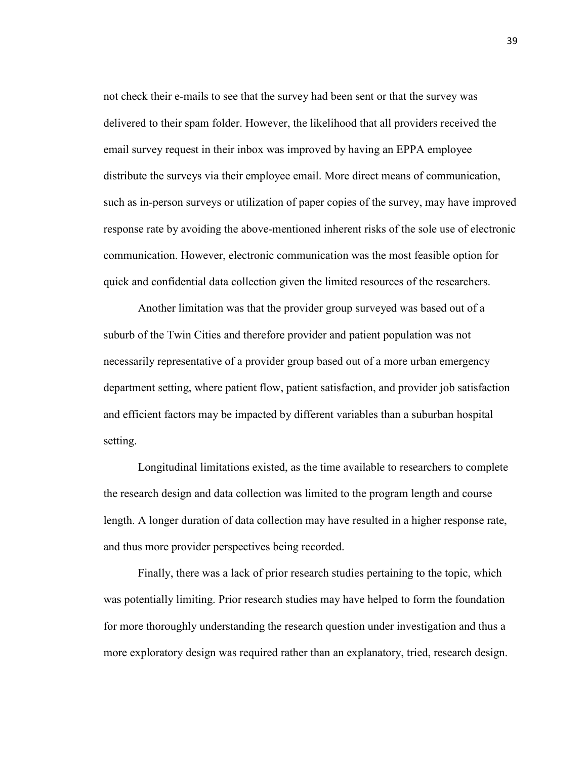not check their e-mails to see that the survey had been sent or that the survey was delivered to their spam folder. However, the likelihood that all providers received the email survey request in their inbox was improved by having an EPPA employee distribute the surveys via their employee email. More direct means of communication, such as in-person surveys or utilization of paper copies of the survey, may have improved response rate by avoiding the above-mentioned inherent risks of the sole use of electronic communication. However, electronic communication was the most feasible option for quick and confidential data collection given the limited resources of the researchers.

 Another limitation was that the provider group surveyed was based out of a suburb of the Twin Cities and therefore provider and patient population was not necessarily representative of a provider group based out of a more urban emergency department setting, where patient flow, patient satisfaction, and provider job satisfaction and efficient factors may be impacted by different variables than a suburban hospital setting.

Longitudinal limitations existed, as the time available to researchers to complete the research design and data collection was limited to the program length and course length. A longer duration of data collection may have resulted in a higher response rate, and thus more provider perspectives being recorded.

Finally, there was a lack of prior research studies pertaining to the topic, which was potentially limiting. Prior research studies may have helped to form the foundation for more thoroughly understanding the research question under investigation and thus a more exploratory design was required rather than an explanatory, tried, research design.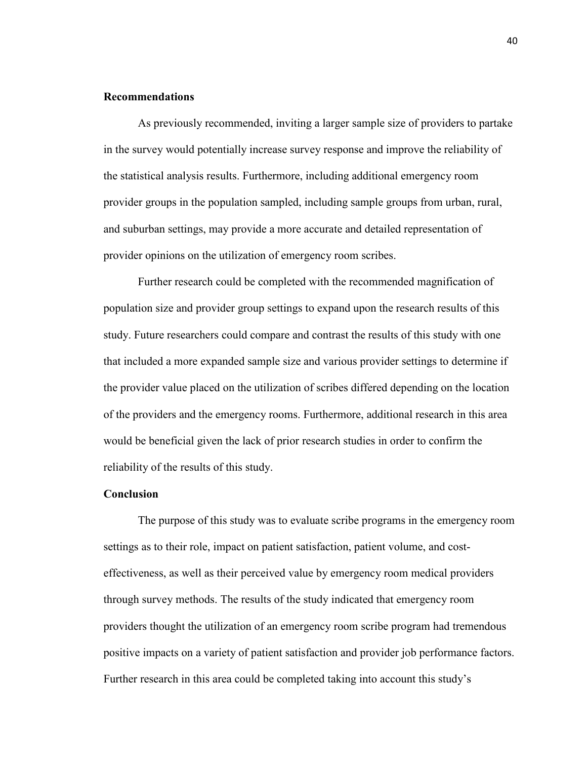#### **Recommendations**

 As previously recommended, inviting a larger sample size of providers to partake in the survey would potentially increase survey response and improve the reliability of the statistical analysis results. Furthermore, including additional emergency room provider groups in the population sampled, including sample groups from urban, rural, and suburban settings, may provide a more accurate and detailed representation of provider opinions on the utilization of emergency room scribes.

Further research could be completed with the recommended magnification of population size and provider group settings to expand upon the research results of this study. Future researchers could compare and contrast the results of this study with one that included a more expanded sample size and various provider settings to determine if the provider value placed on the utilization of scribes differed depending on the location of the providers and the emergency rooms. Furthermore, additional research in this area would be beneficial given the lack of prior research studies in order to confirm the reliability of the results of this study.

#### **Conclusion**

 The purpose of this study was to evaluate scribe programs in the emergency room settings as to their role, impact on patient satisfaction, patient volume, and costeffectiveness, as well as their perceived value by emergency room medical providers through survey methods. The results of the study indicated that emergency room providers thought the utilization of an emergency room scribe program had tremendous positive impacts on a variety of patient satisfaction and provider job performance factors. Further research in this area could be completed taking into account this study's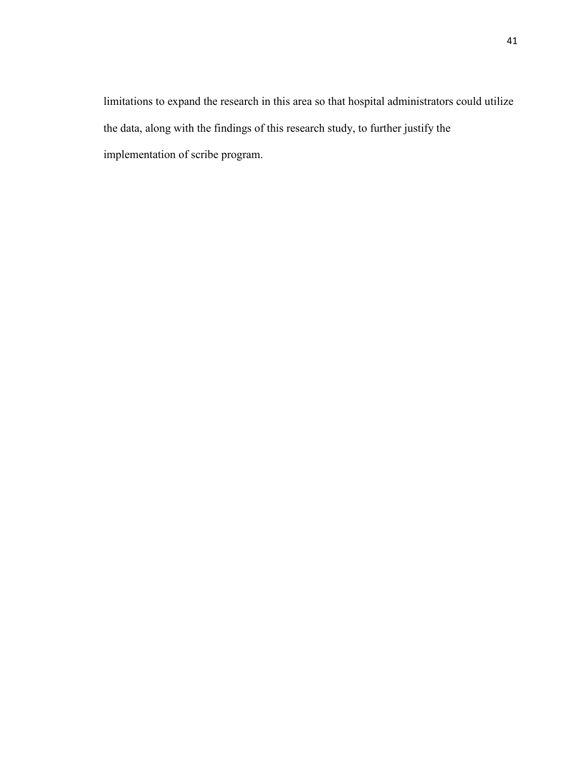limitations to expand the research in this area so that hospital administrators could utilize the data, along with the findings of this research study, to further justify the implementation of scribe program.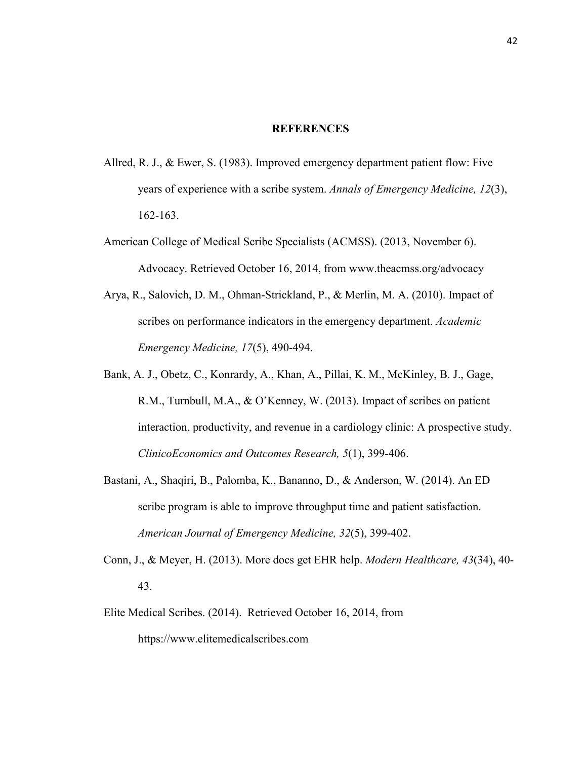#### **REFERENCES**

- Allred, R. J., & Ewer, S. (1983). Improved emergency department patient flow: Five years of experience with a scribe system. *Annals of Emergency Medicine, 12*(3), 162-163.
- American College of Medical Scribe Specialists (ACMSS). (2013, November 6). Advocacy. Retrieved October 16, 2014, from www.theacmss.org/advocacy
- Arya, R., Salovich, D. M., Ohman-Strickland, P., & Merlin, M. A. (2010). Impact of scribes on performance indicators in the emergency department. *Academic Emergency Medicine, 17*(5), 490-494.
- Bank, A. J., Obetz, C., Konrardy, A., Khan, A., Pillai, K. M., McKinley, B. J., Gage, R.M., Turnbull, M.A., & O'Kenney, W. (2013). Impact of scribes on patient interaction, productivity, and revenue in a cardiology clinic: A prospective study. *ClinicoEconomics and Outcomes Research, 5*(1), 399-406.
- Bastani, A., Shaqiri, B., Palomba, K., Bananno, D., & Anderson, W. (2014). An ED scribe program is able to improve throughput time and patient satisfaction. *American Journal of Emergency Medicine, 32*(5), 399-402.
- Conn, J., & Meyer, H. (2013). More docs get EHR help. *Modern Healthcare, 43*(34), 40- 43.
- Elite Medical Scribes. (2014). Retrieved October 16, 2014, from https://www.elitemedicalscribes.com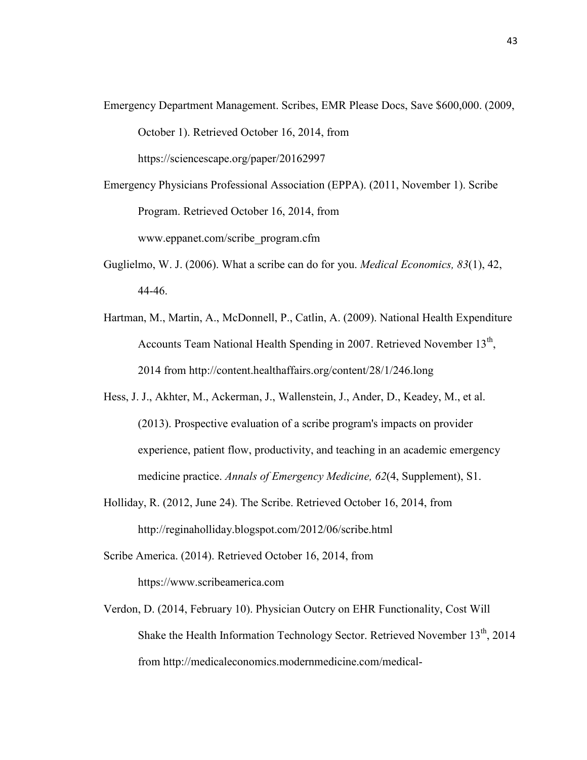- Emergency Department Management. Scribes, EMR Please Docs, Save \$600,000. (2009, October 1). Retrieved October 16, 2014, from <https://sciencescape.org/paper/20162997>
- Emergency Physicians Professional Association (EPPA). (2011, November 1). Scribe Program. Retrieved October 16, 2014, from www.eppanet.com/scribe\_program.cfm
- Guglielmo, W. J. (2006). What a scribe can do for you. *Medical Economics, 83*(1), 42, 44-46.
- Hartman, M., Martin, A., McDonnell, P., Catlin, A. (2009). National Health Expenditure Accounts Team National Health Spending in 2007. Retrieved November 13<sup>th</sup>, 2014 from<http://content.healthaffairs.org/content/28/1/246.long>
- Hess, J. J., Akhter, M., Ackerman, J., Wallenstein, J., Ander, D., Keadey, M., et al. (2013). Prospective evaluation of a scribe program's impacts on provider experience, patient flow, productivity, and teaching in an academic emergency medicine practice. *Annals of Emergency Medicine, 62*(4, Supplement), S1.
- Holliday, R. (2012, June 24). The Scribe. Retrieved October 16, 2014, from <http://reginaholliday.blogspot.com/2012/06/scribe.html>
- Scribe America. (2014). Retrieved October 16, 2014, from https://www.scribeamerica.com
- Verdon, D. (2014, February 10). Physician Outcry on EHR Functionality, Cost Will Shake the Health Information Technology Sector. Retrieved November 13<sup>th</sup>, 2014 from http://medicaleconomics.modernmedicine.com/medical-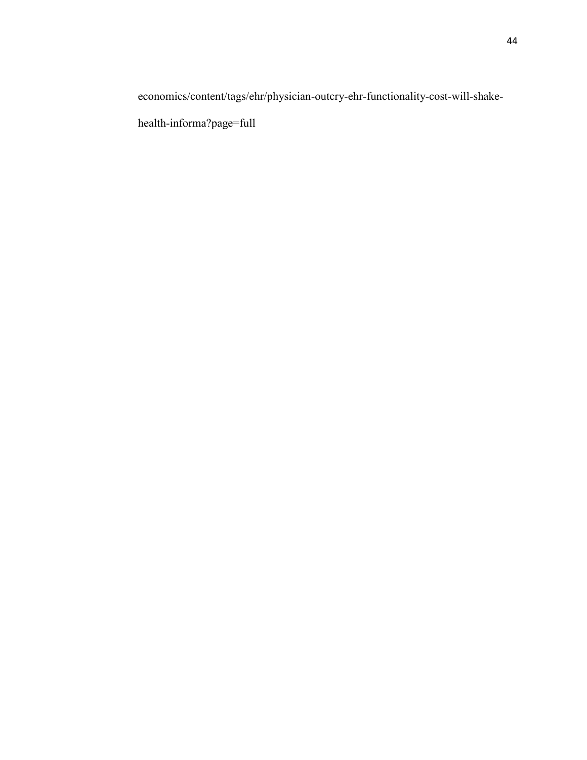economics/content/tags/ehr/physician-outcry-ehr-functionality-cost-will-shake-

health-informa?page=full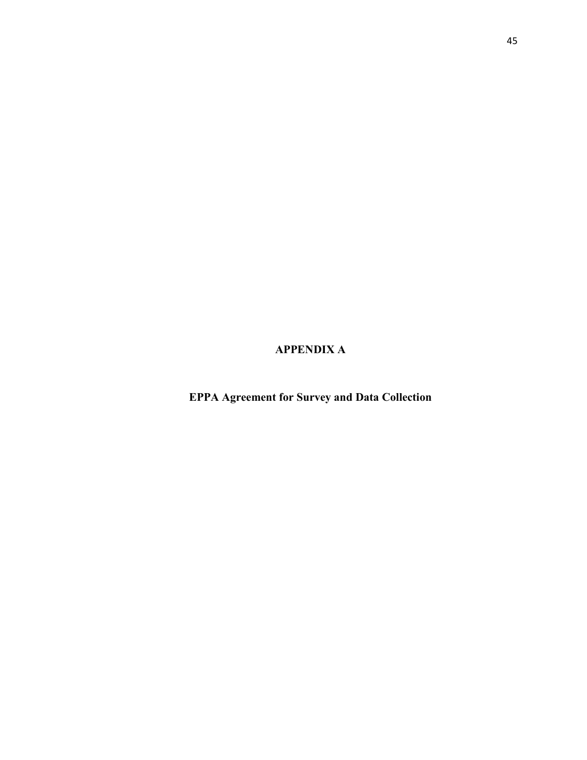**APPENDIX A**

**EPPA Agreement for Survey and Data Collection**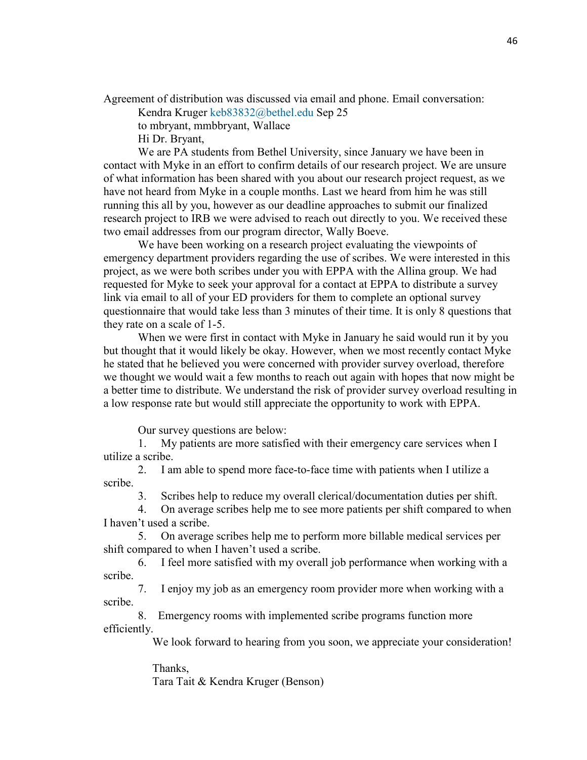Agreement of distribution was discussed via email and phone. Email conversation:

Kendra Kruger [keb83832@bethel.edu](mailto:keb83832@bethel.edu) Sep 25

to mbryant, mmbbryant, Wallace

Hi Dr. Bryant,

We are PA students from Bethel University, since January we have been in contact with Myke in an effort to confirm details of our research project. We are unsure of what information has been shared with you about our research project request, as we have not heard from Myke in a couple months. Last we heard from him he was still running this all by you, however as our deadline approaches to submit our finalized research project to IRB we were advised to reach out directly to you. We received these two email addresses from our program director, Wally Boeve.

We have been working on a research project evaluating the viewpoints of emergency department providers regarding the use of scribes. We were interested in this project, as we were both scribes under you with EPPA with the Allina group. We had requested for Myke to seek your approval for a contact at EPPA to distribute a survey link via email to all of your ED providers for them to complete an optional survey questionnaire that would take less than 3 minutes of their time. It is only 8 questions that they rate on a scale of 1-5.

When we were first in contact with Myke in January he said would run it by you but thought that it would likely be okay. However, when we most recently contact Myke he stated that he believed you were concerned with provider survey overload, therefore we thought we would wait a few months to reach out again with hopes that now might be a better time to distribute. We understand the risk of provider survey overload resulting in a low response rate but would still appreciate the opportunity to work with EPPA.

Our survey questions are below:

1. My patients are more satisfied with their emergency care services when I utilize a scribe.

2. I am able to spend more face-to-face time with patients when I utilize a scribe.

3. Scribes help to reduce my overall clerical/documentation duties per shift.

4. On average scribes help me to see more patients per shift compared to when I haven't used a scribe.

5. On average scribes help me to perform more billable medical services per shift compared to when I haven't used a scribe.

6. I feel more satisfied with my overall job performance when working with a scribe.

7. I enjoy my job as an emergency room provider more when working with a scribe.

8. Emergency rooms with implemented scribe programs function more efficiently.

We look forward to hearing from you soon, we appreciate your consideration!

 Thanks, Tara Tait & Kendra Kruger (Benson)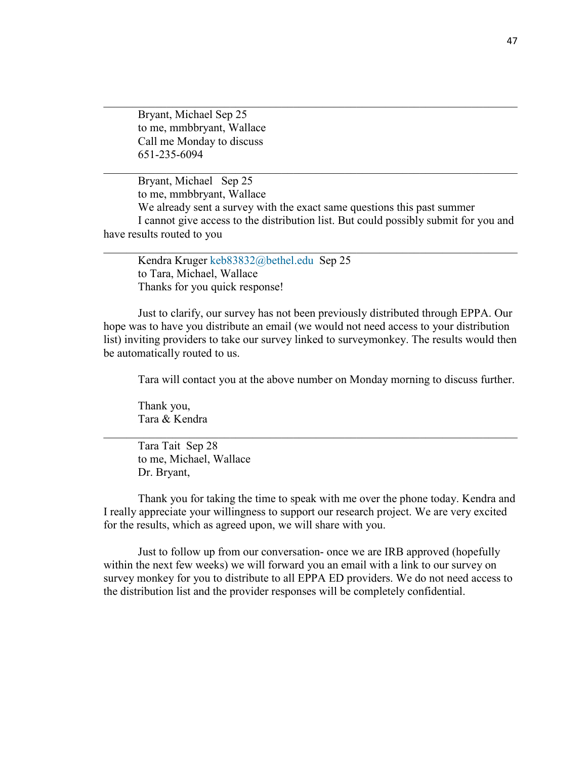Bryant, Michael Sep 25 to me, mmbbryant, Wallace Call me Monday to discuss 651-235-6094

Bryant, Michael Sep 25 to me, mmbbryant, Wallace We already sent a survey with the exact same questions this past summer I cannot give access to the distribution list. But could possibly submit for you and have results routed to you

\_\_\_\_\_\_\_\_\_\_\_\_\_\_\_\_\_\_\_\_\_\_\_\_\_\_\_\_\_\_\_\_\_\_\_\_\_\_\_\_\_\_\_\_\_\_\_\_\_\_\_\_\_\_\_\_\_\_\_\_\_\_\_\_\_\_\_\_\_\_\_\_

 $\_$ 

\_\_\_\_\_\_\_\_\_\_\_\_\_\_\_\_\_\_\_\_\_\_\_\_\_\_\_\_\_\_\_\_\_\_\_\_\_\_\_\_\_\_\_\_\_\_\_\_\_\_\_\_\_\_\_\_\_\_\_\_\_\_\_\_\_\_\_\_\_\_\_\_

Kendra Kruger [keb83832@bethel.edu](mailto:keb83832@bethel.edu) Sep 25 to Tara, Michael, Wallace Thanks for you quick response!

Just to clarify, our survey has not been previously distributed through EPPA. Our hope was to have you distribute an email (we would not need access to your distribution list) inviting providers to take our survey linked to surveymonkey. The results would then be automatically routed to us.

Tara will contact you at the above number on Monday morning to discuss further.

Thank you, Tara & Kendra

Tara Tait Sep 28 to me, Michael, Wallace Dr. Bryant,

Thank you for taking the time to speak with me over the phone today. Kendra and I really appreciate your willingness to support our research project. We are very excited for the results, which as agreed upon, we will share with you.

\_\_\_\_\_\_\_\_\_\_\_\_\_\_\_\_\_\_\_\_\_\_\_\_\_\_\_\_\_\_\_\_\_\_\_\_\_\_\_\_\_\_\_\_\_\_\_\_\_\_\_\_\_\_\_\_\_\_\_\_\_\_\_\_\_\_\_\_\_\_\_\_

Just to follow up from our conversation- once we are IRB approved (hopefully within the next few weeks) we will forward you an email with a link to our survey on survey monkey for you to distribute to all EPPA ED providers. We do not need access to the distribution list and the provider responses will be completely confidential.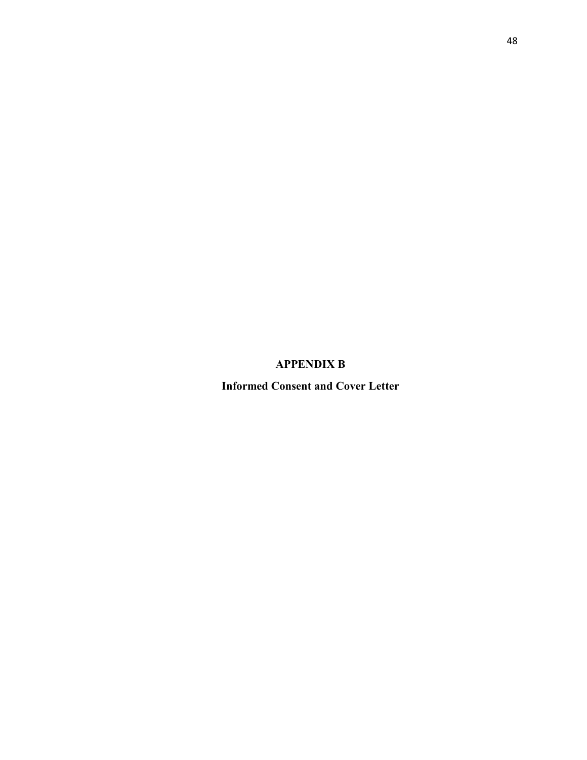**APPENDIX B**

**Informed Consent and Cover Letter**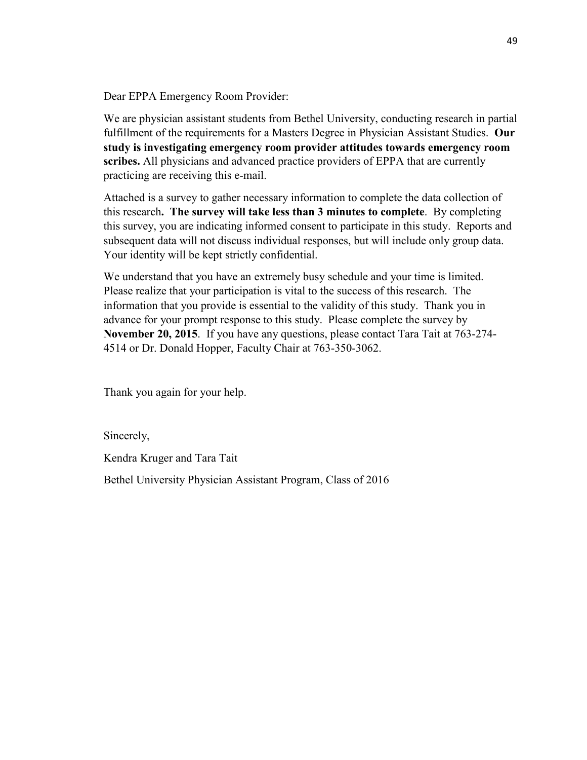Dear EPPA Emergency Room Provider:

We are physician assistant students from Bethel University, conducting research in partial fulfillment of the requirements for a Masters Degree in Physician Assistant Studies. **Our study is investigating emergency room provider attitudes towards emergency room scribes.** All physicians and advanced practice providers of EPPA that are currently practicing are receiving this e-mail.

Attached is a survey to gather necessary information to complete the data collection of this research**. The survey will take less than 3 minutes to complete**. By completing this survey, you are indicating informed consent to participate in this study. Reports and subsequent data will not discuss individual responses, but will include only group data. Your identity will be kept strictly confidential.

We understand that you have an extremely busy schedule and your time is limited. Please realize that your participation is vital to the success of this research. The information that you provide is essential to the validity of this study. Thank you in advance for your prompt response to this study. Please complete the survey by **November 20, 2015**. If you have any questions, please contact Tara Tait at 763-274- 4514 or Dr. Donald Hopper, Faculty Chair at 763-350-3062.

Thank you again for your help.

Sincerely,

Kendra Kruger and Tara Tait

Bethel University Physician Assistant Program, Class of 2016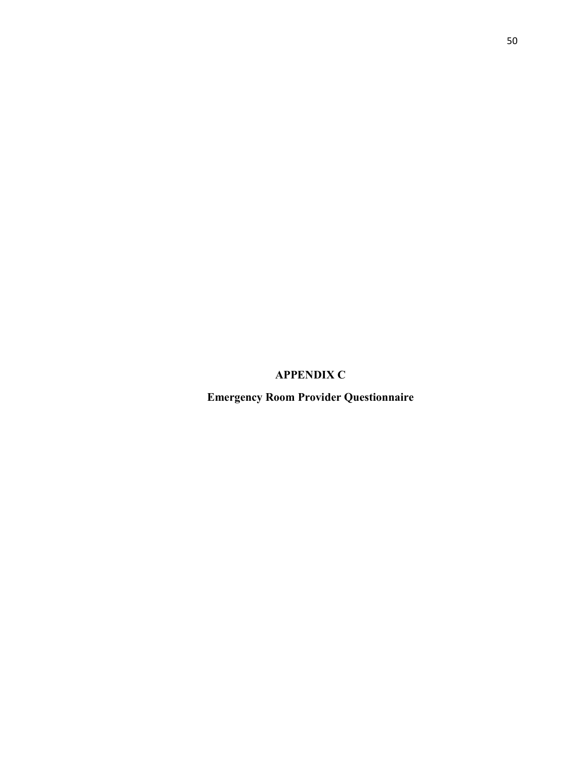## **APPENDIX C**

**Emergency Room Provider Questionnaire**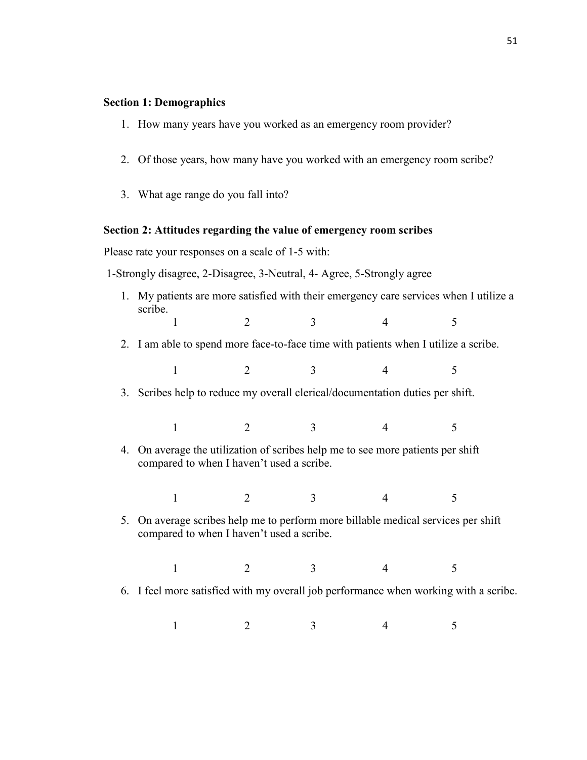#### **Section 1: Demographics**

- 1. How many years have you worked as an emergency room provider?
- 2. Of those years, how many have you worked with an emergency room scribe?
- 3. What age range do you fall into?

#### **Section 2: Attitudes regarding the value of emergency room scribes**

Please rate your responses on a scale of 1-5 with:

1-Strongly disagree, 2-Disagree, 3-Neutral, 4- Agree, 5-Strongly agree

- 1. My patients are more satisfied with their emergency care services when I utilize a scribe.  $1 2 3 4 5$
- 2. I am able to spend more face-to-face time with patients when I utilize a scribe.

 $1 2 3 4 5$ 

3. Scribes help to reduce my overall clerical/documentation duties per shift.

- $1 2 3 4 5$
- 4. On average the utilization of scribes help me to see more patients per shift compared to when I haven't used a scribe.

 $1 2 3 4 5$ 

5. On average scribes help me to perform more billable medical services per shift compared to when I haven't used a scribe.

 $1 2 3 4 5$ 

6. I feel more satisfied with my overall job performance when working with a scribe.

 $1 2 3 4 5$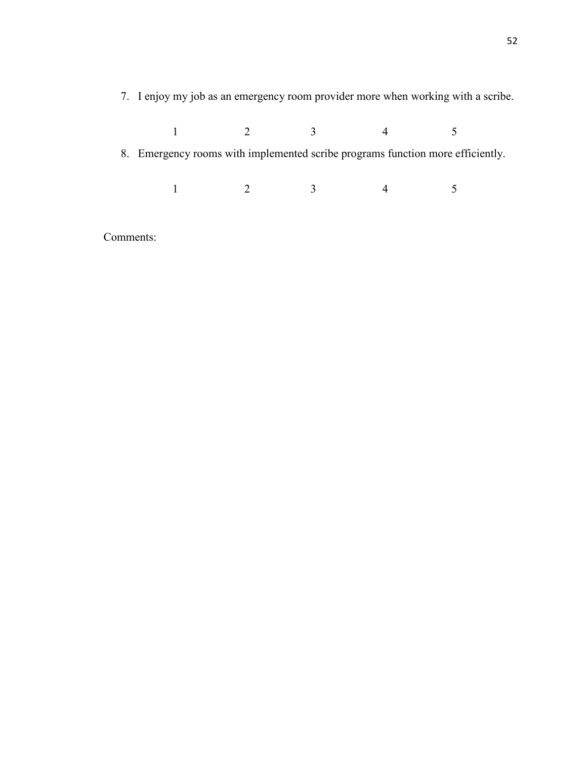7. I enjoy my job as an emergency room provider more when working with a scribe.

| 8. Emergency rooms with implemented scribe programs function more efficiently. |                |                         |  |  |
|--------------------------------------------------------------------------------|----------------|-------------------------|--|--|
|                                                                                |                |                         |  |  |
|                                                                                | $\overline{2}$ | $\overline{\mathbf{3}}$ |  |  |
|                                                                                |                |                         |  |  |

Comments: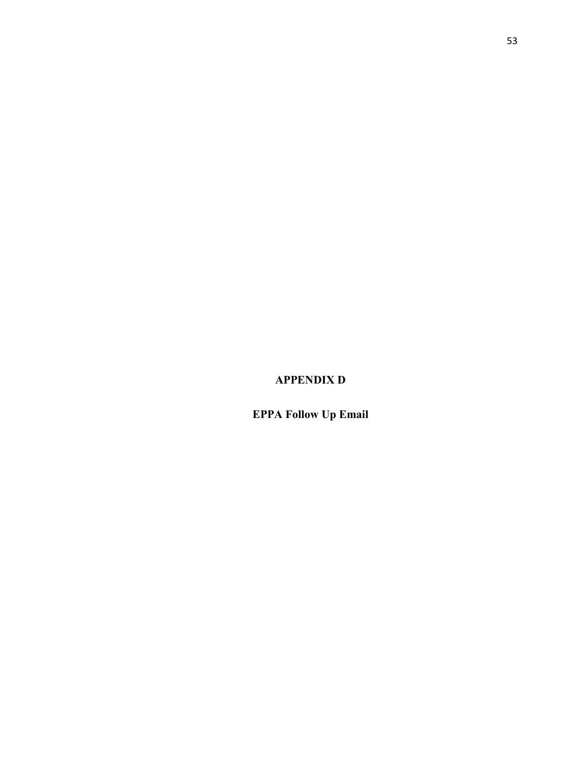# **APPENDIX D**

# **EPPA Follow Up Email**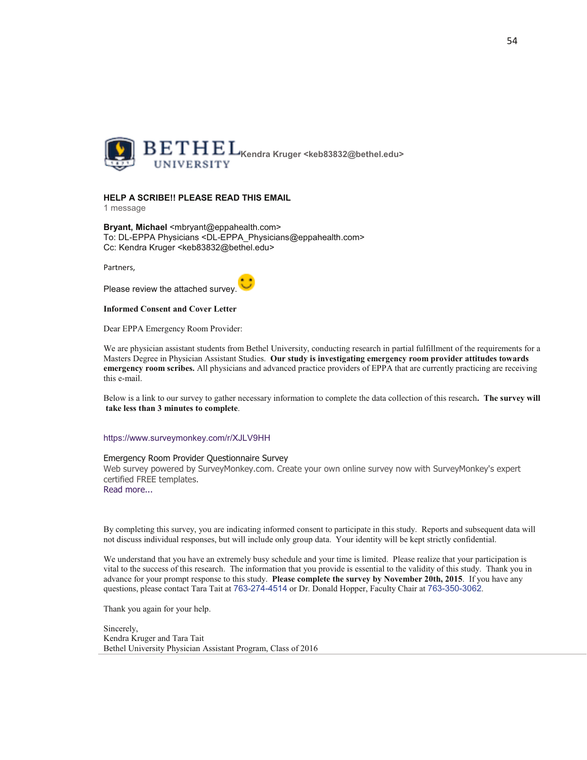

#### **HELP A SCRIBE!! PLEASE READ THIS EMAIL**

1 message

Bryant, Michael <mbryant@eppahealth.com> To: DL-EPPA Physicians <DL-EPPA Physicians@eppahealth.com> Cc: Kendra Kruger <keb83832@bethel.edu>

Partners,

Please review the attached survey.

#### **Informed Consent and Cover Letter**

Dear EPPA Emergency Room Provider:

We are physician assistant students from Bethel University, conducting research in partial fulfillment of the requirements for a Masters Degree in Physician Assistant Studies. Our study is investigating emergency room provider attitudes towards emergency room scribes. All physicians and advanced practice providers of EPPA that are currently practicing are receiving this e-mail.

Below is a link to our survey to gather necessary information to complete the data collection of this research. The survey will take less than 3 minutes to complete.

#### https://www.surveymonkey.com/r/XJLV9HH

#### Emergency Room Provider Questionnaire Survey

Web survey powered by SurveyMonkey.com. Create your own online survey now with SurveyMonkey's expert certified FREE templates.

Read more...

By completing this survey, you are indicating informed consent to participate in this study. Reports and subsequent data will not discuss individual responses, but will include only group data. Your identity will be kept strictly confidential.

We understand that you have an extremely busy schedule and your time is limited. Please realize that your participation is vital to the success of this research. The information that you provide is essential to the validity of this study. Thank you in advance for your prompt response to this study. Please complete the survey by November 20th, 2015. If you have any questions, please contact Tara Tait at 763-274-4514 or Dr. Donald Hopper, Faculty Chair at 763-350-3062.

Thank you again for your help.

Sincerely, Kendra Kruger and Tara Tait Bethel University Physician Assistant Program, Class of 2016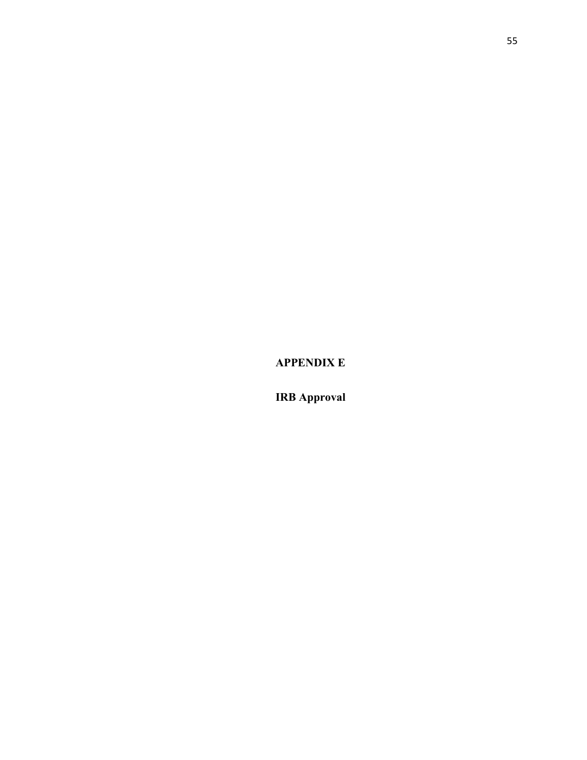**APPENDIX E**

**IRB Approval**